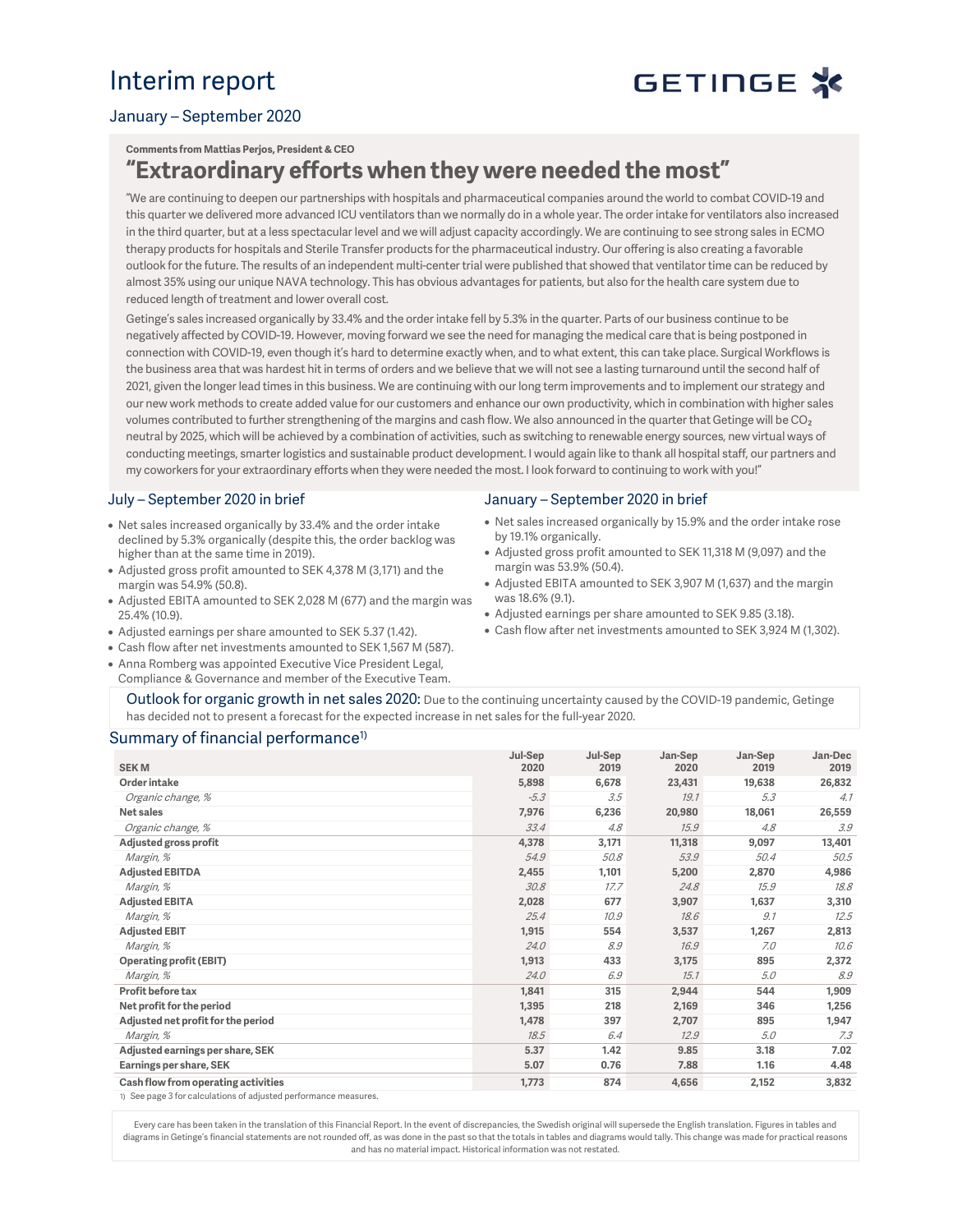# Interim report

# GETINGE X

### January – September 2020

#### **Comments from Mattias Perjos, President & CEO**

## **"Extraordinary efforts when they were needed the most"**

"We are continuing to deepen our partnerships with hospitals and pharmaceutical companies around the world to combat COVID-19 and this quarter we delivered more advanced ICU ventilators than we normally do in a whole year. The order intake for ventilators also increased in the third quarter, but at a less spectacular level and we will adjust capacity accordingly. We are continuing to see strong sales in ECMO therapy products for hospitals and Sterile Transfer products for the pharmaceutical industry. Our offering is also creating a favorable outlook for the future. The results of an independent multi-center trial were published that showed that ventilator time can be reduced by almost 35% using our unique NAVA technology. This has obvious advantages for patients, but also for the health care system due to reduced length of treatment and lower overall cost.

Getinge's sales increased organically by 33.4% and the order intake fell by 5.3% in the quarter. Parts of our business continue to be negatively affected by COVID-19. However, moving forward we see the need for managing the medical care that is being postponed in connection with COVID-19, even though it's hard to determine exactly when, and to what extent, this can take place. Surgical Workflows is the business area that was hardest hit in terms of orders and we believe that we will not see a lasting turnaround until the second half of 2021, given the longer lead times in this business. We are continuing with our long term improvements and to implement our strategy and our new work methods to create added value for our customers and enhance our own productivity, which in combination with higher sales volumes contributed to further strengthening of the margins and cash flow. We also announced in the quarter that Getinge will be CO<sub>2</sub> neutral by 2025, which will be achieved by a combination of activities, such as switching to renewable energy sources, new virtual ways of conducting meetings, smarter logistics and sustainable product development. I would again like to thank all hospital staff, our partners and my coworkers for your extraordinary efforts when they were needed the most. I look forward to continuing to work with you!"

#### July – September 2020 in brief

- Net sales increased organically by 33.4% and the order intake declined by 5.3% organically (despite this, the order backlog was higher than at the same time in 2019).
- Adjusted gross profit amounted to SEK 4,378 M (3,171) and the margin was 54.9% (50.8).
- Adjusted EBITA amounted to SEK 2,028 M (677) and the margin was 25.4% (10.9).
- Adjusted earnings per share amounted to SEK 5.37 (1.42).
- Cash flow after net investments amounted to SEK 1,567 M (587).
- Anna Romberg was appointed Executive Vice President Legal, Compliance & Governance and member of the Executive Team.

#### January – September 2020 in brief

- Net sales increased organically by 15.9% and the order intake rose by 19.1% organically.
- Adjusted gross profit amounted to SEK 11,318 M (9,097) and the margin was 53.9% (50.4).
- Adjusted EBITA amounted to SEK 3,907 M (1,637) and the margin was 18.6% (9.1).
- Adjusted earnings per share amounted to SEK 9.85 (3.18).
- Cash flow after net investments amounted to SEK 3,924 M (1,302).

Outlook for organic growth in net sales 2020: Due to the continuing uncertainty caused by the COVID-19 pandemic, Getinge has decided not to present a forecast for the expected increase in net sales for the full-year 2020.

#### Summary of financial performance<sup>1)</sup>

| <b>SEKM</b>                                                      | Jul-Sep<br>2020 | Jul-Sep<br>2019 | Jan-Sep<br>2020 | Jan-Sep<br>2019 | Jan-Dec<br>2019 |
|------------------------------------------------------------------|-----------------|-----------------|-----------------|-----------------|-----------------|
| Order intake                                                     | 5,898           | 6,678           | 23,431          | 19,638          | 26,832          |
| Organic change, %                                                | $-5.3$          | 3.5             | 19.1            | 5.3             | 4.1             |
| Net sales                                                        | 7,976           | 6,236           | 20,980          | 18,061          | 26,559          |
| Organic change, %                                                | 33.4            | 4.8             | 15.9            | 4.8             | 3.9             |
| Adjusted gross profit                                            | 4,378           | 3,171           | 11,318          | 9,097           | 13,401          |
| Margin, %                                                        | 54.9            | 50.8            | 53.9            | 50.4            | 50.5            |
| <b>Adjusted EBITDA</b>                                           | 2,455           | 1,101           | 5,200           | 2,870           | 4,986           |
| Margin, %                                                        | 30.8            | 17.7            | 24.8            | 15.9            | 18.8            |
| <b>Adjusted EBITA</b>                                            | 2,028           | 677             | 3,907           | 1,637           | 3,310           |
| Margin, %                                                        | 25.4            | 10.9            | 18.6            | 9.1             | 12.5            |
| <b>Adjusted EBIT</b>                                             | 1,915           | 554             | 3,537           | 1,267           | 2,813           |
| Margin, %                                                        | 24.0            | 8.9             | 16.9            | 7.0             | 10.6            |
| <b>Operating profit (EBIT)</b>                                   | 1,913           | 433             | 3,175           | 895             | 2,372           |
| Margin, %                                                        | 24.0            | 6.9             | 15.1            | 5.0             | 8.9             |
| Profit before tax                                                | 1,841           | 315             | 2,944           | 544             | 1,909           |
| Net profit for the period                                        | 1,395           | 218             | 2,169           | 346             | 1,256           |
| Adjusted net profit for the period                               | 1,478           | 397             | 2,707           | 895             | 1,947           |
| Margin, %                                                        | 18.5            | 6.4             | 12.9            | 5.0             | 7.3             |
| Adjusted earnings per share, SEK                                 | 5.37            | 1.42            | 9.85            | 3.18            | 7.02            |
| Earnings per share, SEK                                          | 5.07            | 0.76            | 7.88            | 1.16            | 4.48            |
| Cash flow from operating activities                              | 1,773           | 874             | 4,656           | 2,152           | 3,832           |
| 1) See page 3 for calculations of adjusted performance measures. |                 |                 |                 |                 |                 |

Every care has been taken in the translation of this Financial Report. In the event of discrepancies, the Swedish original will supersede the English translation. Figures in tables and diagrams in Getinge's financial statements are not rounded off, as was done in the past so that the totals in tables and diagrams would tally. This change was made for practical reasons and has no material impact. Historical information was not restated.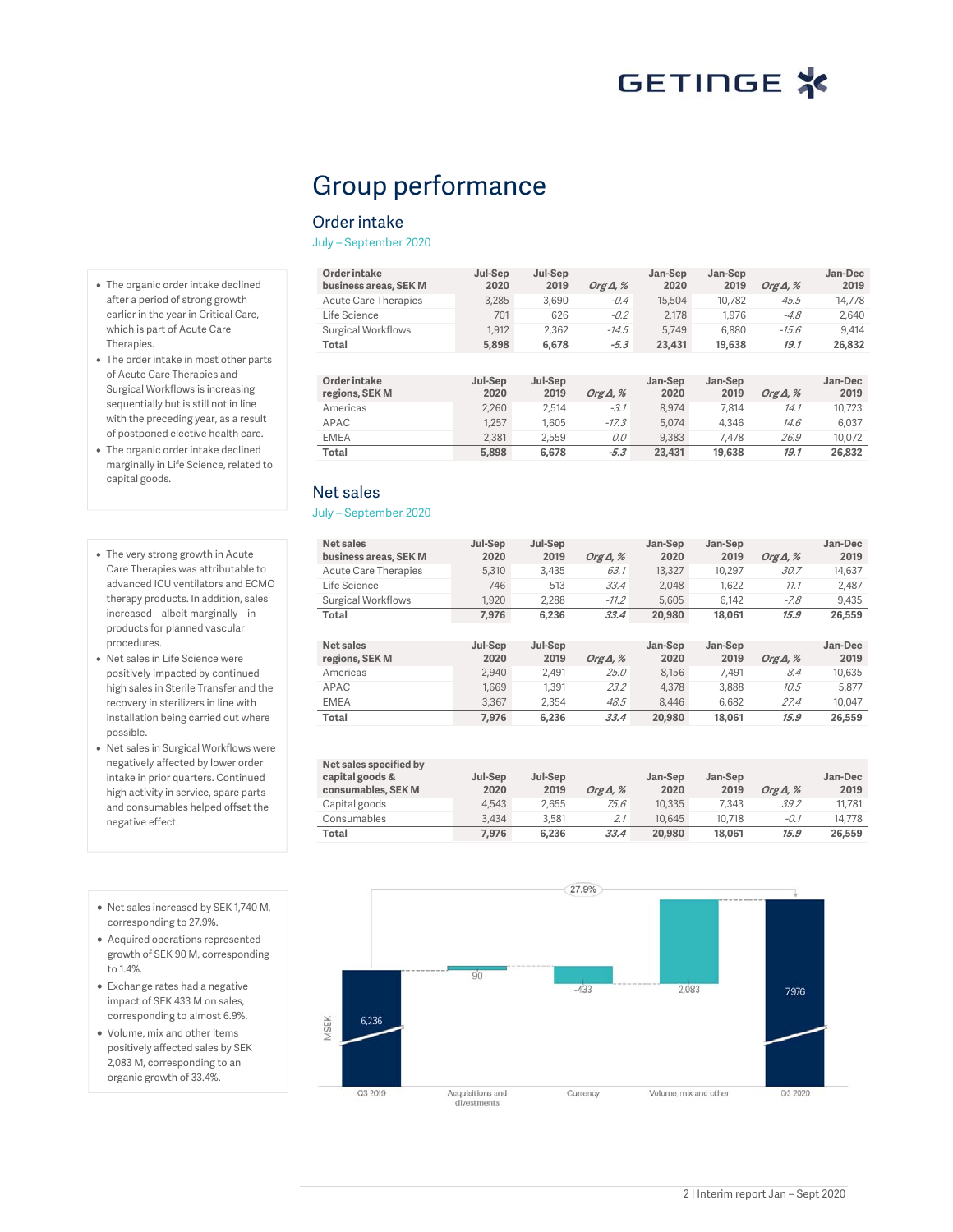# Group performance

### Order intake

July – September 2020

| Order intake<br>business areas, SEK M | Jul-Sep<br>2020 | Jul-Sep<br>2019 | Org $\Delta$ , % | Jan-Sep<br>2020 | Jan-Sep<br>2019 | Org $\Delta$ , % | Jan-Dec<br>2019 |
|---------------------------------------|-----------------|-----------------|------------------|-----------------|-----------------|------------------|-----------------|
| Acute Care Therapies                  | 3.285           | 3.690           | $-0.4$           | 15,504          | 10.782          | 45.5             | 14.778          |
| Life Science                          | 701             | 626             | $-0.2$           | 2.178           | 1.976           | $-4.8$           | 2.640           |
| Surgical Workflows                    | 1.912           | 2.362           | $-14.5$          | 5.749           | 6,880           | $-15.6$          | 9.414           |
| Total                                 | 5,898           | 6.678           | $-5.3$           | 23,431          | 19,638          | 19.1             | 26.832          |

| Order intake<br>regions, SEK M | Jul-Sep<br>2020 | Jul-Sep<br>2019 | Org $\Delta$ , % | Jan-Sep<br>2020 | Jan-Sep<br>2019 | Org $\Delta$ , % | Jan-Dec<br>2019 |
|--------------------------------|-----------------|-----------------|------------------|-----------------|-----------------|------------------|-----------------|
| Americas                       | 2.260           | 2.514           | $-3.1$           | 8.974           | 7.814           | 14.1             | 10.723          |
| APAC                           | 1.257           | 1.605           | $-17.3$          | 5.074           | 4.346           | 14.6             | 6.037           |
| <b>EMEA</b>                    | 2.381           | 2.559           | 0.0              | 9.383           | 7.478           | 26.9             | 10.072          |
| Total                          | 5,898           | 6.678           | $-5.3$           | 23,431          | 19,638          | 19.1             | 26.832          |

## Net sales

#### July – September 2020

| Net sales<br>business areas, SEK M | Jul-Sep<br>2020 | Jul-Sep<br>2019 | Org $\Delta$ , % | Jan-Sep<br>2020 | Jan-Sep<br>2019 | Org $\Delta$ , % | Jan-Dec<br>2019 |
|------------------------------------|-----------------|-----------------|------------------|-----------------|-----------------|------------------|-----------------|
| <b>Acute Care Therapies</b>        | 5.310           | 3.435           | 63.1             | 13,327          | 10.297          | 30.7             | 14.637          |
| Life Science                       | 746             | 513             | 33.4             | 2.048           | 1.622           | 11.1             | 2.487           |
| Surgical Workflows                 | 1.920           | 2.288           | $-11.2$          | 5.605           | 6.142           | $-7.8$           | 9.435           |
| Total                              | 7.976           | 6,236           | 33.4             | 20,980          | 18.061          | 15.9             | 26,559          |
|                                    |                 |                 |                  |                 |                 |                  |                 |
| Net sales                          |                 | Jul-Sep         |                  |                 |                 |                  |                 |
|                                    | Jul-Sep         |                 |                  | Jan-Sep         | Jan-Sep         |                  | Jan-Dec         |
| regions, SEK M                     | 2020            | 2019            | Org $\Delta$ , % | 2020            | 2019            | Org $\Delta$ , % | 2019            |
| Americas                           | 2.940           | 2.491           | 25.0             | 8.156           | 7.491           | 8.4              | 10.635          |
| APAC                               | 1.669           | 1.391           | 23.2             | 4.378           | 3.888           | 10.5             | 5.877           |
| <b>EMEA</b>                        | 3,367           | 2.354           | 48.5             | 8.446           | 6.682           | 27.4             | 10.047          |
| <b>Total</b>                       | 7.976           | 6,236           | 33.4             | 20,980          | 18.061          | 15.9             | 26,559          |

| Net sales specified by<br>capital goods &<br>consumables, SEK M | Jul-Sep<br>2020 | Jul-Sep<br>2019 | Org $\Delta$ , % | Jan-Sep<br>2020 | Jan-Sep<br>2019 | Org $\Delta$ , % | Jan-Dec<br>2019 |
|-----------------------------------------------------------------|-----------------|-----------------|------------------|-----------------|-----------------|------------------|-----------------|
| Capital goods                                                   | 4.543           | 2.655           | 75.6             | 10.335          | 7.343           | 39.2             | 11.781          |
| Consumables                                                     | 3.434           | 3.581           | 2.1              | 10,645          | 10.718          | $-0.1$           | 14.778          |
| Total                                                           | 7.976           | 6.236           | 33.4             | 20,980          | 18.061          | 15.9             | 26,559          |



- Acquired operations represented growth of SEK 90 M, corresponding to 1.4%.
- Exchange rates had a negative impact of SEK 433 M on sales, corresponding to almost 6.9%.
- Volume, mix and other items positively affected sales by SEK 2,083 M, corresponding to an organic growth of 33.4%.



- The organic order intake declined after a period of strong growth earlier in the year in Critical Care, which is part of Acute Care Therapies.
- The order intake in most other parts of Acute Care Therapies and Surgical Workflows is increasing sequentially but is still not in line with the preceding year, as a result of postponed elective health care.
- The organic order intake declined marginally in Life Science, related to capital goods.
- The very strong growth in Acute Care Therapies was attributable to advanced ICU ventilators and ECMO therapy products. In addition, sales increased – albeit marginally – in products for planned vascular procedures.
- Net sales in Life Science were positively impacted by continued high sales in Sterile Transfer and the recovery in sterilizers in line with installation being carried out where possible.
- Net sales in Surgical Workflows were negatively affected by lower order intake in prior quarters. Continued high activity in service, spare parts and consumables helped offset the negative effect.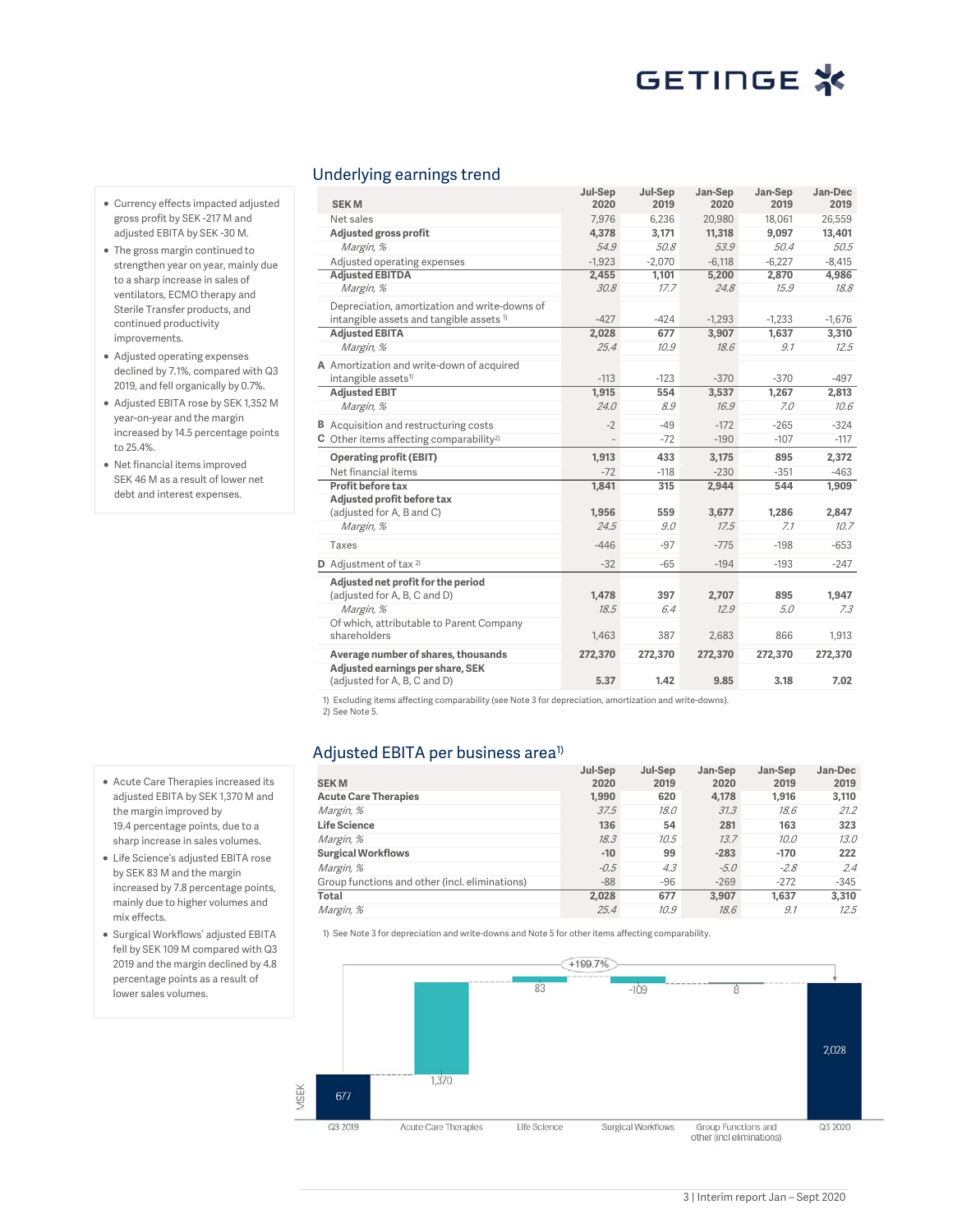### Underlying earnings trend

|                                                       | Jul-Sep  | Jul-Sep  | Jan-Sep  | Jan-Sep  | Jan-Dec  |
|-------------------------------------------------------|----------|----------|----------|----------|----------|
| <b>SEKM</b>                                           | 2020     | 2019     | 2020     | 2019     | 2019     |
| Net sales                                             | 7,976    | 6,236    | 20,980   | 18,061   | 26,559   |
| Adjusted gross profit                                 | 4,378    | 3,171    | 11,318   | 9,097    | 13,401   |
| Margin, %                                             | 54.9     | 50.8     | 53.9     | 50.4     | 50.5     |
| Adjusted operating expenses                           | $-1,923$ | $-2,070$ | $-6,118$ | $-6,227$ | $-8,415$ |
| <b>Adjusted EBITDA</b>                                | 2,455    | 1,101    | 5,200    | 2,870    | 4,986    |
| Margin, %                                             | 30.8     | 17.7     | 24.8     | 15.9     | 18.8     |
| Depreciation, amortization and write-downs of         |          |          |          |          |          |
| intangible assets and tangible assets <sup>1)</sup>   | $-427$   | $-424$   | $-1,293$ | $-1,233$ | $-1,676$ |
| <b>Adjusted EBITA</b>                                 | 2,028    | 677      | 3,907    | 1,637    | 3,310    |
| Margin, %                                             | 25.4     | 10.9     | 18.6     | 9.1      | 12.5     |
| A Amortization and write-down of acquired             |          |          |          |          |          |
| intangible assets <sup>1)</sup>                       | $-113$   | $-123$   | $-370$   | $-370$   | $-497$   |
| <b>Adiusted EBIT</b>                                  | 1,915    | 554      | 3,537    | 1,267    | 2,813    |
| Margin, %                                             | 24.0     | 8.9      | 16.9     | 7.0      | 10.6     |
| <b>B</b> Acquisition and restructuring costs          | $-2$     | $-49$    | $-172$   | $-265$   | $-324$   |
| $C$ Other items affecting comparability <sup>2)</sup> |          | $-72$    | $-190$   | $-107$   | $-117$   |
| <b>Operating profit (EBIT)</b>                        | 1,913    | 433      | 3,175    | 895      | 2,372    |
| Net financial items                                   | $-72$    | $-118$   | $-230$   | $-351$   | $-463$   |
| Profit before tax                                     | 1.841    | 315      | 2,944    | 544      | 1,909    |
| Adjusted profit before tax                            |          |          |          |          |          |
| (adjusted for A, B and C)                             | 1,956    | 559      | 3,677    | 1,286    | 2,847    |
| Margin, %                                             | 24.5     | 9.0      | 17.5     | 7.1      | 10.7     |
| Taxes                                                 | $-446$   | $-97$    | $-775$   | $-198$   | $-653$   |
| D Adjustment of tax <sup>2)</sup>                     | $-32$    | $-65$    | $-194$   | $-193$   | $-247$   |
| Adjusted net profit for the period                    |          |          |          |          |          |
| (adjusted for A, B, C and D)                          | 1.478    | 397      | 2.707    | 895      | 1.947    |
| Margin, %                                             | 18.5     | 6.4      | 12.9     | 5.0      | 7.3      |
| Of which, attributable to Parent Company              |          |          |          |          |          |
| shareholders                                          | 1,463    | 387      | 2,683    | 866      | 1,913    |
| Average number of shares, thousands                   | 272,370  | 272,370  | 272,370  | 272,370  | 272,370  |
| Adjusted earnings per share, SEK                      |          |          |          |          |          |
| (adjusted for A, B, C and D)                          | 5.37     | 1.42     | 9.85     | 3.18     | 7.02     |

1) Excluding items affecting comparability (see Note 3 for depreciation, amortization and write-downs).

2) See Note 5.

### Adjusted EBITA per business area<sup>1)</sup>

|                                                | Jul-Sep | Jul-Sep | Jan-Sep | Jan-Sep | Jan-Dec |
|------------------------------------------------|---------|---------|---------|---------|---------|
| <b>SEKM</b>                                    | 2020    | 2019    | 2020    | 2019    | 2019    |
| <b>Acute Care Therapies</b>                    | 1,990   | 620     | 4,178   | 1,916   | 3,110   |
| Margin, %                                      | 37.5    | 18.0    | 31.3    | 18.6    | 21.2    |
| <b>Life Science</b>                            | 136     | 54      | 281     | 163     | 323     |
| Margin, %                                      | 18.3    | 10.5    | 13.7    | 10.0    | 13.0    |
| <b>Surgical Workflows</b>                      | $-10$   | 99      | $-283$  | $-170$  | 222     |
| Margin, %                                      | $-0.5$  | 4.3     | $-5.0$  | $-2.8$  | 2.4     |
| Group functions and other (incl. eliminations) | $-88$   | $-96$   | $-269$  | $-272$  | $-345$  |
| Total                                          | 2.028   | 677     | 3.907   | 1.637   | 3,310   |
| Margin, %                                      | 25.4    | 10.9    | 18.6    | 9.1     | 12.5    |

1) See Note 3 for depreciation and write-downs and Note 5 for other items affecting comparability.



- Currency effects impacted adjusted gross profit by SEK -217 M and adjusted EBITA by SEK -30 M.
- The gross margin continued to strengthen year on year, mainly due to a sharp increase in sales of ventilators, ECMO therapy and Sterile Transfer products, and continued productivity improvements.
- Adjusted operating expenses declined by 7.1%, compared with Q3 2019, and fell organically by 0.7%.
- Adjusted EBITA rose by SEK 1,352 M year-on-year and the margin increased by 14.5 percentage points to 25.4%.
- Net financial items improved SEK 46 M as a result of lower net debt and interest expenses.

- Acute Care Therapies increased its adjusted EBITA by SEK 1,370 M and the margin improved by 19.4 percentage points, due to a sharp increase in sales volumes.
- Life Science's adjusted EBITA rose by SEK 83 M and the margin increased by 7.8 percentage points, mainly due to higher volumes and mix effects.
- Surgical Workflows' adjusted EBITA fell by SEK 109 M compared with Q3 2019 and the margin declined by 4.8 percentage points as a result of lower sales volumes.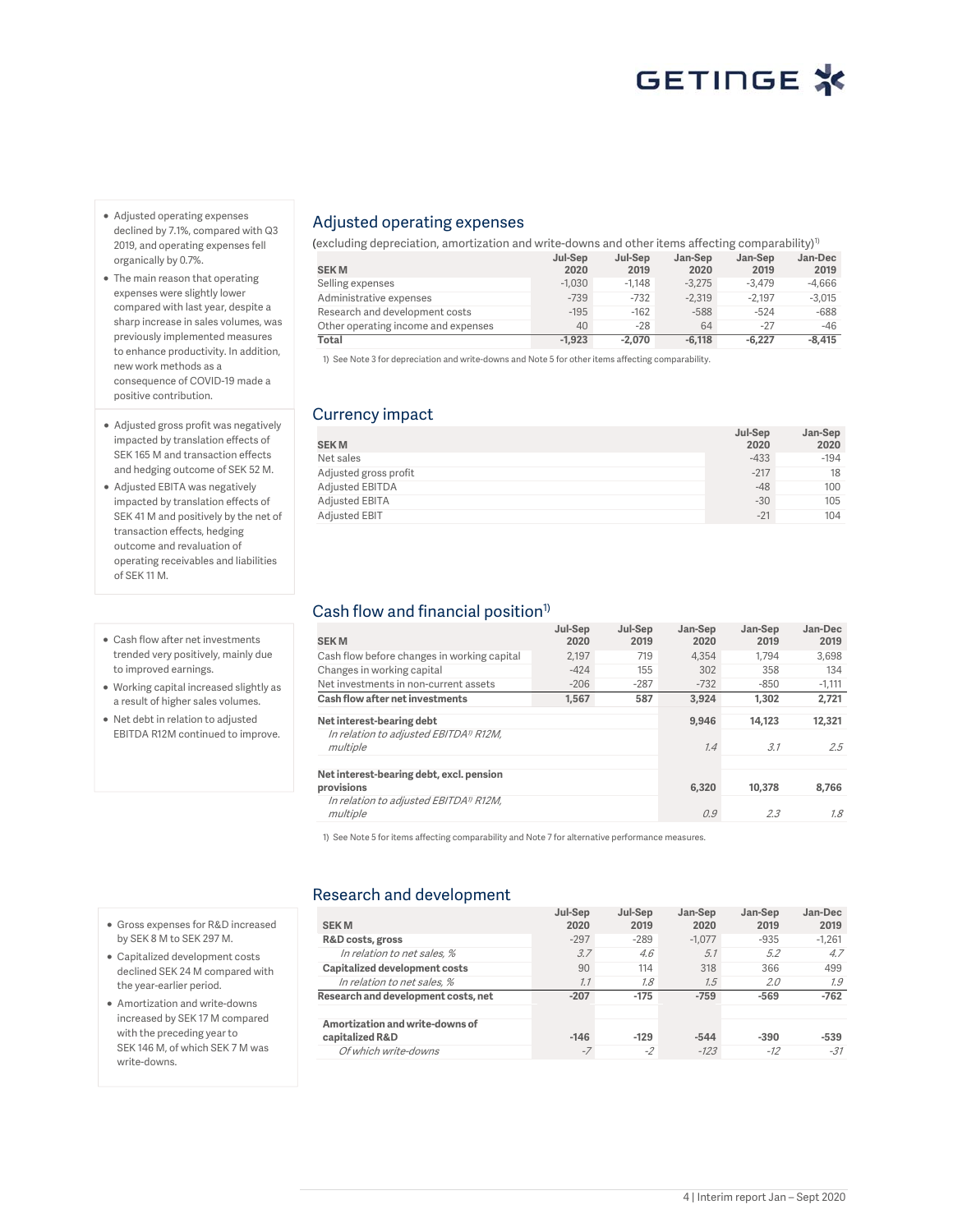- Adjusted operating expenses declined by 7.1%, compared with Q3 2019, and operating expenses fell organically by 0.7%.
- The main reason that operating expenses were slightly lower compared with last year, despite a sharp increase in sales volumes, was previously implemented measures to enhance productivity. In addition, new work methods as a consequence of COVID-19 made a positive contribution.
- Adjusted gross profit was negatively impacted by translation effects of SEK 165 M and transaction effects and hedging outcome of SEK 52 M.
- Adjusted EBITA was negatively impacted by translation effects of SEK 41 M and positively by the net of transaction effects, hedging outcome and revaluation of operating receivables and liabilities of SEK 11 M.
- Cash flow after net investments trended very positively, mainly due to improved earnings.
- Working capital increased slightly as a result of higher sales volumes.
- Net debt in relation to adjusted EBITDA R12M continued to improve.

## Adjusted operating expenses

(excluding depreciation, amortization and write-downs and other items affecting comparability)<sup>1)</sup>

|                                     | Jul-Sep  | Jul-Sep  | Jan-Sep  | Jan-Sep  | Jan-Dec  |
|-------------------------------------|----------|----------|----------|----------|----------|
| <b>SEKM</b>                         | 2020     | 2019     | 2020     | 2019     | 2019     |
| Selling expenses                    | $-1.030$ | $-1.148$ | $-3.275$ | $-3.479$ | $-4.666$ |
| Administrative expenses             | $-739$   | $-732$   | $-2.319$ | $-2.197$ | $-3.015$ |
| Research and development costs      | $-195$   | $-162$   | $-588$   | $-524$   | -688     |
| Other operating income and expenses | 40       | $-28$    | 64       | $-27$    | -46      |
| Total                               | $-1.923$ | $-2.070$ | $-6.118$ | $-6.227$ | -8.415   |

1) See Note 3 for depreciation and write-downs and Note 5 for other items affecting comparability.

## Currency impact

| <b>SEKM</b>           | Jul-Sep<br>2020 | Jan-Sep<br>2020 |
|-----------------------|-----------------|-----------------|
| Net sales             | $-433$          | $-194$          |
| Adjusted gross profit | $-217$          | 18              |
| Adjusted EBITDA       | $-48$           | 100             |
| Adjusted EBITA        | $-30$           | 105             |
| <b>Adjusted EBIT</b>  | $-21$           | 104             |

## Cash flow and financial position<sup>1)</sup>

| <b>SEKM</b>                                                    | Jul-Sep<br>2020 | Jul-Sep<br>2019 | Jan-Sep<br>2020 | Jan-Sep<br>2019 | Jan-Dec<br>2019 |
|----------------------------------------------------------------|-----------------|-----------------|-----------------|-----------------|-----------------|
| Cash flow before changes in working capital                    | 2.197           | 719             | 4.354           | 1.794           | 3.698           |
| Changes in working capital                                     | $-424$          | 155             | 302             | 358             | 134             |
| Net investments in non-current assets                          | $-206$          | $-287$          | $-732$          | $-850$          | $-1,111$        |
| Cash flow after net investments                                | 1.567           | 587             | 3.924           | 1.302           | 2.721           |
| Net interest-bearing debt                                      |                 |                 | 9.946           | 14.123          | 12,321          |
| In relation to adjusted EBITDA <sup>11</sup> R12M,<br>multiple |                 |                 | 1.4             | 3.1             | 2.5             |
| Net interest-bearing debt, excl. pension<br>provisions         |                 |                 | 6.320           | 10,378          | 8.766           |
| In relation to adjusted EBITDA <sup>1</sup> R12M,<br>multiple  |                 |                 | 0.9             | 2.3             | 7.8             |

1) See Note 5 for items affecting comparability and Note 7 for alternative performance measures.

### Research and development

| <b>SEKM</b>                                        | Jul-Sep<br>2020 | Jul-Sep<br>2019 | Jan-Sep<br>2020 | Jan-Sep<br>2019 | Jan-Dec<br>2019 |
|----------------------------------------------------|-----------------|-----------------|-----------------|-----------------|-----------------|
| R&D costs, gross                                   | $-297$          | $-289$          | $-1.077$        | $-935$          | $-1.261$        |
| In relation to net sales, %                        | 3.7             | 4.6             | 5.1             | 5.2             | 4.7             |
| Capitalized development costs                      | 90              | 114             | 318             | 366             | 499             |
| In relation to net sales, %                        | 7.7             | 7.8             | 7.5             | 2.0             | 1.9             |
| Research and development costs, net                | $-207$          | $-175$          | $-759$          | $-569$          | $-762$          |
| Amortization and write-downs of<br>capitalized R&D | $-146$          | $-129$          | $-544$          | $-390$          | $-539$          |
| Of which write-downs                               | $-7$            | $-2$            | $-123$          | $-12$           | $-31$           |

- Gross expenses for R&D increased by SEK 8 M to SEK 297 M.
- Capitalized development costs declined SEK 24 M compared with the year-earlier period.
- Amortization and write-downs increased by SEK 17 M compared with the preceding year to SEK 146 M, of which SEK 7 M was write-downs.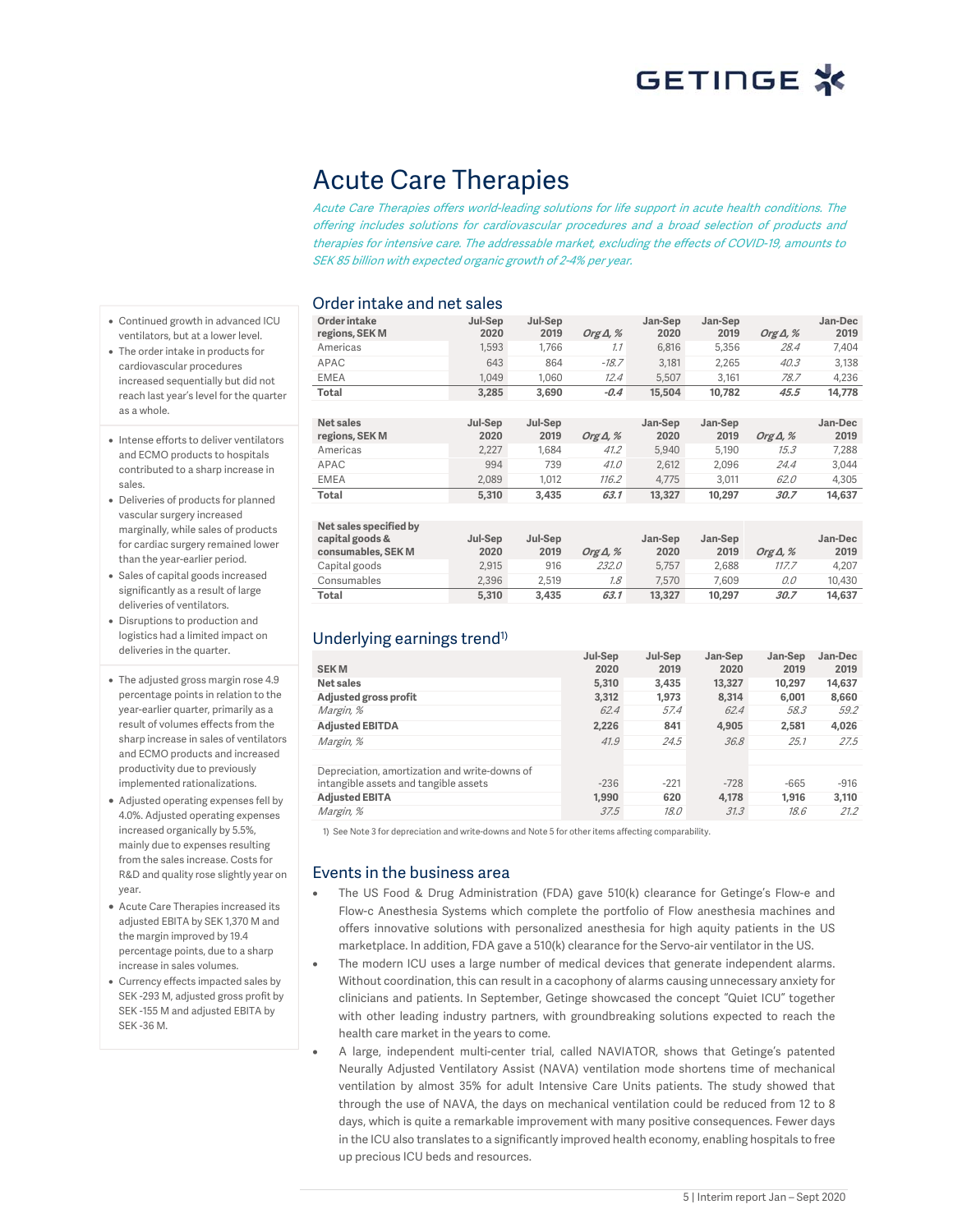## Acute Care Therapies

Acute Care Therapies offers world-leading solutions for life support in acute health conditions. The offering includes solutions for cardiovascular procedures and a broad selection of products and therapies for intensive care. The addressable market, excluding the effects of COVID-19, amounts to SEK 85 billion with expected organic growth of 2-4% per year.

### Order intake and net sales

- Continued growth in advanced ICU ventilators, but at a lower level.
- The order intake in products for cardiovascular procedures increased sequentially but did not reach last year's level for the quarter as a whole.
- Intense efforts to deliver ventilators and ECMO products to hospitals contributed to a sharp increase in sales.
- Deliveries of products for planned vascular surgery increased marginally, while sales of products for cardiac surgery remained lower than the year-earlier period.
- Sales of capital goods increased significantly as a result of large deliveries of ventilators.
- Disruptions to production and logistics had a limited impact on deliveries in the quarter.
- The adjusted gross margin rose 4.9 percentage points in relation to the year-earlier quarter, primarily as a result of volumes effects from the sharp increase in sales of ventilators and ECMO products and increased productivity due to previously implemented rationalizations.
- Adjusted operating expenses fell by 4.0%. Adjusted operating expenses increased organically by 5.5%, mainly due to expenses resulting from the sales increase. Costs for R&D and quality rose slightly year on year.
- Acute Care Therapies increased its adjusted EBITA by SEK 1,370 M and the margin improved by 19.4 percentage points, due to a sharp increase in sales volumes.
- Currency effects impacted sales by SEK -293 M, adjusted gross profit by SEK -155 M and adjusted EBITA by SEK -36 M.

| bruer intake and net sales |         |         |                  |         |         |                  |         |
|----------------------------|---------|---------|------------------|---------|---------|------------------|---------|
| Order intake               | Jul-Sep | Jul-Sep |                  | Jan-Sep | Jan-Sep |                  | Jan-Dec |
| regions, SEK M             | 2020    | 2019    | Org $\Delta$ , % | 2020    | 2019    | Org $\Delta$ , % | 2019    |
| Americas                   | 1,593   | 1,766   | 7.7              | 6,816   | 5,356   | 28.4             | 7,404   |
| APAC                       | 643     | 864     | $-18.7$          | 3,181   | 2,265   | 40.3             | 3,138   |
| <b>EMEA</b>                | 1,049   | 1,060   | 12.4             | 5,507   | 3,161   | 78.7             | 4,236   |
| Total                      | 3,285   | 3,690   | $-0.4$           | 15,504  | 10,782  | 45.5             | 14,778  |
|                            |         |         |                  |         |         |                  |         |
| Net sales                  | Jul-Sep | Jul-Sep |                  | Jan-Sep | Jan-Sep |                  | Jan-Dec |
| regions, SEK M             | 2020    | 2019    | Org $\Delta$ , % | 2020    | 2019    | Org $\Delta$ , % | 2019    |
| Americas                   | 2,227   | 1,684   | 41.2             | 5,940   | 5,190   | 15.3             | 7,288   |
| APAC                       | 994     | 739     | 41.0             | 2,612   | 2,096   | 24.4             | 3,044   |
| EMEA                       | 2,089   | 1,012   | 116.2            | 4,775   | 3,011   | 62.0             | 4,305   |
| Total                      | 5,310   | 3,435   | 63.1             | 13,327  | 10,297  | 30.7             | 14,637  |
|                            |         |         |                  |         |         |                  |         |
| Net sales specified by     |         |         |                  |         |         |                  |         |
| capital goods &            | Jul-Sep | Jul-Sep |                  | Jan-Sep | Jan-Sep |                  | Jan-Dec |
| consumables, SEK M         | 2020    | 2019    | Org $\Delta$ , % | 2020    | 2019    | Org $\Delta$ , % | 2019    |
| Capital goods              | 2,915   | 916     | <i>232.0</i>     | 5,757   | 2,688   | 117.7            | 4,207   |
| Consumables                | 2.396   | 2.519   | 7.8              | 7.570   | 7.609   | 0.0              | 10.430  |

Consumables 2,396 2,519 1.8 7,570 7,609 0.0 10,430 **Total 5,310 3,435 63.1 13,327 10,297 30.7 14,637**

## Underlying earnings trend<sup>1)</sup>

| <b>SEKM</b>                                   | Jul-Sep<br>2020 | Jul-Sep<br>2019 | Jan-Sep<br>2020 | Jan-Sep<br>2019 | Jan-Dec<br>2019 |
|-----------------------------------------------|-----------------|-----------------|-----------------|-----------------|-----------------|
|                                               |                 |                 |                 |                 |                 |
| Net sales                                     | 5,310           | 3.435           | 13,327          | 10,297          | 14,637          |
| Adjusted gross profit                         | 3.312           | 1.973           | 8.314           | 6.001           | 8,660           |
| Margin, %                                     | 62.4            | 57.4            | 62.4            | 58.3            | 59.2            |
| <b>Adjusted EBITDA</b>                        | 2,226           | 841             | 4.905           | 2.581           | 4,026           |
| Margin, %                                     | 41.9            | 24.5            | 36.8            | 25.1            | 27.5            |
|                                               |                 |                 |                 |                 |                 |
| Depreciation, amortization and write-downs of |                 |                 |                 |                 |                 |
| intangible assets and tangible assets         | $-236$          | $-221$          | $-728$          | $-665$          | $-916$          |
| <b>Adjusted EBITA</b>                         | 1.990           | 620             | 4,178           | 1.916           | 3,110           |
| Margin, %                                     | 37.5            | <i>18.0</i>     | 31.3            | 18.6            | 21.2            |

1) See Note 3 for depreciation and write-downs and Note 5 for other items affecting comparability.

### Events in the business area

- The US Food & Drug Administration (FDA) gave 510(k) clearance for Getinge's Flow-e and Flow-c Anesthesia Systems which complete the portfolio of Flow anesthesia machines and offers innovative solutions with personalized anesthesia for high aquity patients in the US marketplace. In addition, FDA gave a 510(k) clearance for the Servo-air ventilator in the US.
- The modern ICU uses a large number of medical devices that generate independent alarms. Without coordination, this can result in a cacophony of alarms causing unnecessary anxiety for clinicians and patients. In September, Getinge showcased the concept "Quiet ICU" together with other leading industry partners, with groundbreaking solutions expected to reach the health care market in the years to come.
- A large, independent multi-center trial, called NAVIATOR, shows that Getinge's patented Neurally Adjusted Ventilatory Assist (NAVA) ventilation mode shortens time of mechanical ventilation by almost 35% for adult Intensive Care Units patients. The study showed that through the use of NAVA, the days on mechanical ventilation could be reduced from 12 to 8 days, which is quite a remarkable improvement with many positive consequences. Fewer days in the ICU also translates to a significantly improved health economy, enabling hospitals to free up precious ICU beds and resources.

5 | Interim report Jan – Sept 2020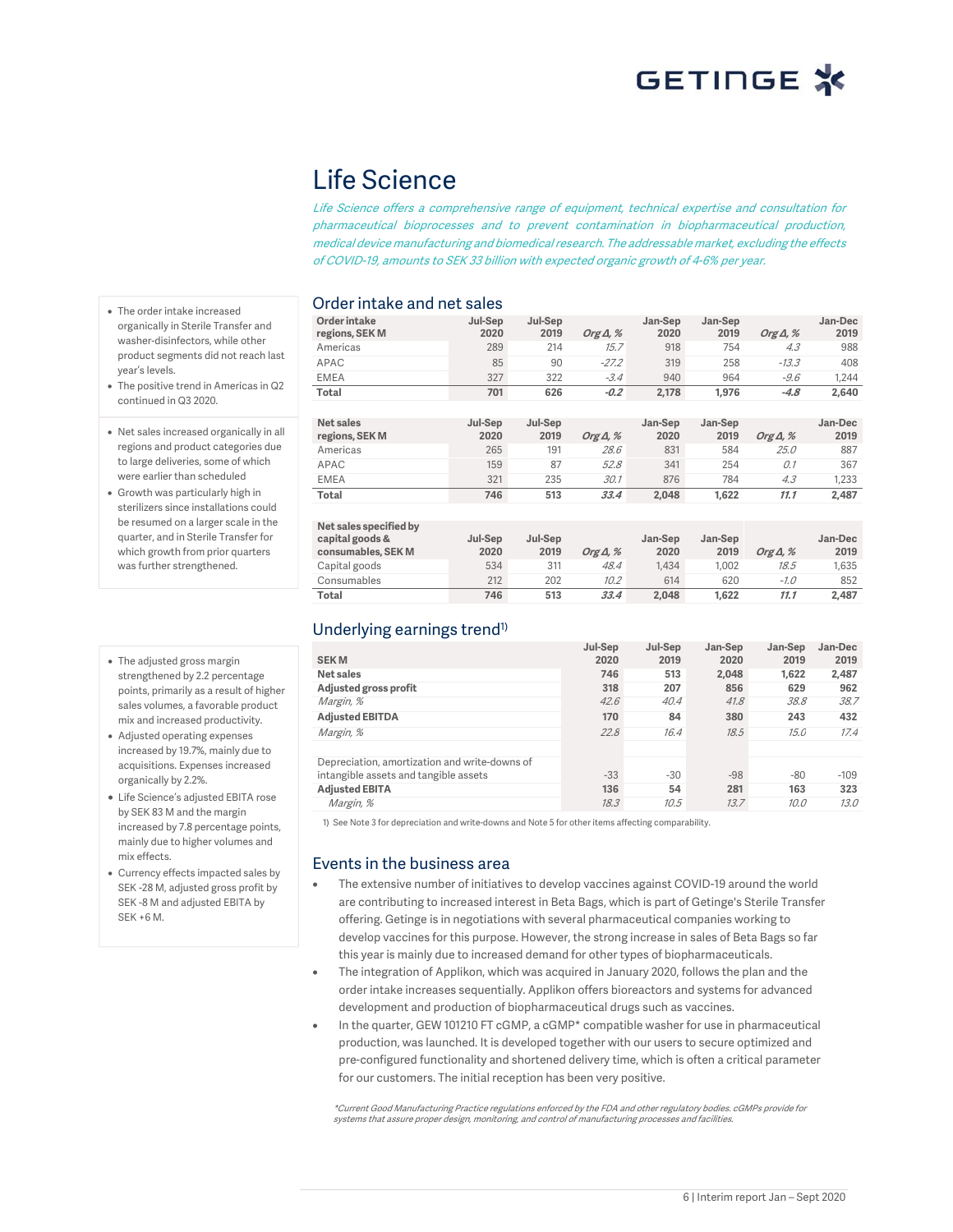## Life Science

Life Science offers a comprehensive range of equipment, technical expertise and consultation for pharmaceutical bioprocesses and to prevent contamination in biopharmaceutical production, medical device manufacturing and biomedical research. The addressable market, excluding the effects of COVID-19, amounts to SEK 33 billion with expected organic growth of 4-6% per year.

### Order intake and net sales

**Order intake regions, SEK M Jul-Sep 2020 Jul-Sep 2019 Org Δ, % Jan-Sep 2020 Jan-Sep 2019 Org Δ, % Jan-Dec 2019** Americas 289 214 15.7 918 754 4.3 988 APAC 85 90 -27.2 319 258 -13.3 408 EMEA 327 322 -3.4 940 964 -9.6 1,244 **Total 701 626 -0.2 2,178 1,976 -4.8 2,640**

| Net sales<br>regions, SEK M | Jul-Sep<br>2020 | Jul-Sep<br>2019 | Org $\Delta$ , % | Jan-Sep<br>2020 | Jan-Sep<br>2019 | Org $\Delta$ , % | Jan-Dec<br>2019 |
|-----------------------------|-----------------|-----------------|------------------|-----------------|-----------------|------------------|-----------------|
| Americas                    | 265             | 191             | 28.6             | 831             | 584             | <i>25.0</i>      | 887             |
| APAC                        | 159             | 87              | 52.8             | 341             | 254             | 0.1              | 367             |
| <b>EMEA</b>                 | 321             | 235             | 30.1             | 876             | 784             | 4.3              | 1.233           |
| Total                       | 746             | 513             | 33.4             | 2.048           | 1.622           | 11.1             | 2.487           |

| Net sales specified by<br>capital goods &<br>consumables, SEK M | Jul-Sep<br>2020 | Jul-Sep<br>2019 | Org $\Delta$ , % | Jan-Sep<br>2020 | Jan-Sep<br>2019 | Org $\Delta$ , % | Jan-Dec<br>2019 |
|-----------------------------------------------------------------|-----------------|-----------------|------------------|-----------------|-----------------|------------------|-----------------|
| Capital goods                                                   | 534             | 311             | 48.4             | 1.434           | 1.002           | 18.5             | 1.635           |
| Consumables                                                     | 212             | 202             | 10.2             | 614             | 620             | $-1.0$           | 852             |
| Total                                                           | 746             | 513             | 33.4             | 2.048           | 1.622           | 11.1             | 2.487           |

## Underlying earnings trend<sup>1)</sup>

| <b>SEKM</b>                                   | Jul-Sep<br>2020 | Jul-Sep<br>2019 | Jan-Sep<br>2020 | Jan-Sep<br>2019 | Jan-Dec<br>2019 |
|-----------------------------------------------|-----------------|-----------------|-----------------|-----------------|-----------------|
| Net sales                                     | 746             | 513             | 2,048           | 1.622           | 2,487           |
| Adjusted gross profit                         | 318             | 207             | 856             | 629             | 962             |
| Margin, %                                     | 42.6            | 40.4            | 41.8            | 38.8            | 38.7            |
| <b>Adjusted EBITDA</b>                        | 170             | 84              | 380             | 243             | 432             |
| Margin, %                                     | 22.8            | 16.4            | 18.5            | 15.0            | 17.4            |
|                                               |                 |                 |                 |                 |                 |
| Depreciation, amortization and write-downs of |                 |                 |                 |                 |                 |
| intangible assets and tangible assets         | $-33$           | $-30$           | $-98$           | $-80$           | $-109$          |
| <b>Adiusted EBITA</b>                         | 136             | 54              | 281             | 163             | 323             |
| Margin, %                                     | 18.3            | 10.5            | 13.7            | 10.0            | 13.0            |

1) See Note 3 for depreciation and write-downs and Note 5 for other items affecting comparability.

### Events in the business area

- The extensive number of initiatives to develop vaccines against COVID-19 around the world are contributing to increased interest in Beta Bags, which is part of Getinge's Sterile Transfer offering. Getinge is in negotiations with several pharmaceutical companies working to develop vaccines for this purpose. However, the strong increase in sales of Beta Bags so far this year is mainly due to increased demand for other types of biopharmaceuticals.
- The integration of Applikon, which was acquired in January 2020, follows the plan and the order intake increases sequentially. Applikon offers bioreactors and systems for advanced development and production of biopharmaceutical drugs such as vaccines.
- In the quarter, GEW 101210 FT cGMP, a cGMP\* compatible washer for use in pharmaceutical production, was launched. It is developed together with our users to secure optimized and pre-configured functionality and shortened delivery time, which is often a critical parameter for our customers. The initial reception has been very positive.

\*Current Good Manufacturing Practice regulations enforced by the FDA and other regulatory bodies. cGMPs provide for systems that assure proper design, monitoring, and control of manufacturing processes and facilities.

- The order intake increased organically in Sterile Transfer and washer-disinfectors, while other product segments did not reach last year's levels.
- The positive trend in Americas in Q2 continued in Q3 2020.
- Net sales increased organically in all regions and product categories due to large deliveries, some of which were earlier than scheduled
- Growth was particularly high in sterilizers since installations could be resumed on a larger scale in the quarter, and in Sterile Transfer for which growth from prior quarters was further strengthened.
- The adjusted gross margin strengthened by 2.2 percentage points, primarily as a result of higher sales volumes, a favorable product mix and increased productivity.
- Adjusted operating expenses increased by 19.7%, mainly due to acquisitions. Expenses increased organically by 2.2%.
- Life Science's adjusted EBITA rose by SEK 83 M and the margin increased by 7.8 percentage points, mainly due to higher volumes and mix effects.
- Currency effects impacted sales by SEK -28 M, adjusted gross profit by SEK -8 M and adjusted EBITA by SEK +6 M.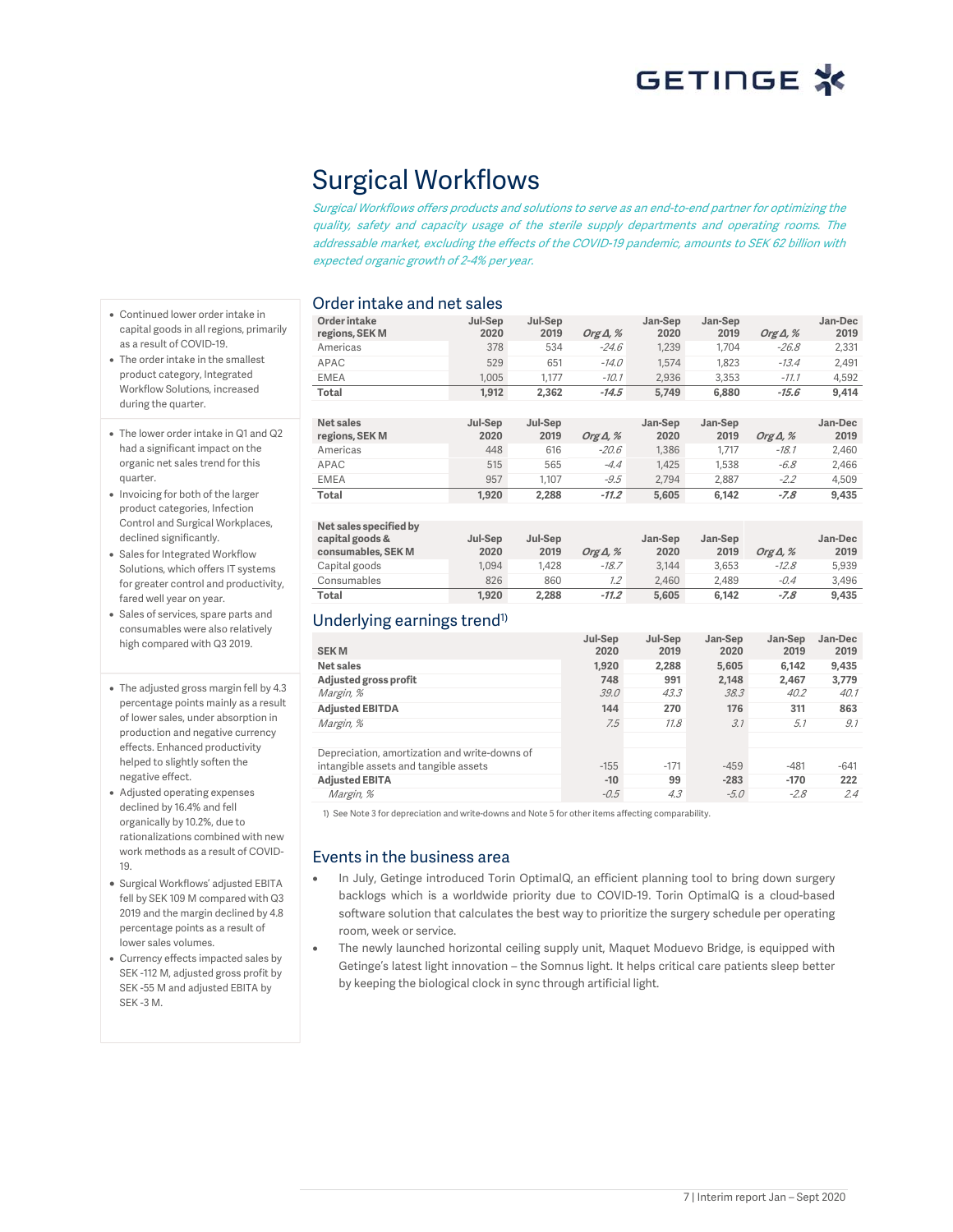# Surgical Workflows

Surgical Workflows offers products and solutions to serve as an end-to-end partner for optimizing the quality, safety and capacity usage of the sterile supply departments and operating rooms. The addressable market, excluding the effects of the COVID-19 pandemic, amounts to SEK 62 billion with expected organic growth of 2-4% per year.

### Order intake and net sales

- Continued lower order intake in capital goods in all regions, primarily as a result of COVID-19.
- The order intake in the smallest product category, Integrated Workflow Solutions, increased during the quarter.
- The lower order intake in Q1 and Q2 had a significant impact on the organic net sales trend for this quarter.
- Invoicing for both of the larger product categories, Infection Control and Surgical Workplaces, declined significantly.
- Sales for Integrated Workflow Solutions, which offers IT systems for greater control and productivity, fared well year on year.
- Sales of services, spare parts and consumables were also relatively high compared with Q3 2019.
- The adjusted gross margin fell by 4.3 percentage points mainly as a result of lower sales, under absorption in production and negative currency effects. Enhanced productivity helped to slightly soften the negative effect.
- Adjusted operating expenses declined by 16.4% and fell organically by 10.2%, due to rationalizations combined with new work methods as a result of COVID-19.
- Surgical Workflows' adjusted EBITA fell by SEK 109 M compared with Q3 2019 and the margin declined by 4.8 percentage points as a result of lower sales volumes.
- Currency effects impacted sales by SEK -112 M, adjusted gross profit by SEK -55 M and adjusted EBITA by SEK -3 M.

| Prusi mano anu nocedioe        |                 |                 |                  |                 |                 |                  |                 |
|--------------------------------|-----------------|-----------------|------------------|-----------------|-----------------|------------------|-----------------|
| Order intake<br>regions, SEK M | Jul-Sep<br>2020 | Jul-Sep<br>2019 | Org $\Delta$ , % | Jan-Sep<br>2020 | Jan-Sep<br>2019 | Org $\Delta$ , % | Jan-Dec<br>2019 |
|                                |                 |                 |                  |                 |                 |                  |                 |
| Americas                       | 378             | 534             | $-24.6$          | 1.239           | 1.704           | $-26.8$          | 2,331           |
| APAC                           | 529             | 651             | $-14.0$          | 1.574           | 1.823           | $-13.4$          | 2,491           |
| <b>EMEA</b>                    | 1.005           | 1.177           | $-10.1$          | 2.936           | 3.353           | $-77.7$          | 4.592           |
| Total                          | 1.912           | 2.362           | $-14.5$          | 5.749           | 6,880           | $-15.6$          | 9,414           |
|                                |                 |                 |                  |                 |                 |                  |                 |
|                                |                 |                 |                  |                 |                 |                  |                 |

| Net sales<br>regions, SEK M | Jul-Sep<br>2020 | Jul-Sep<br>2019 | Org $\Delta$ , % | Jan-Sep<br>2020 | Jan-Sep<br>2019 | Org $\Delta$ , % | Jan-Dec<br>2019 |
|-----------------------------|-----------------|-----------------|------------------|-----------------|-----------------|------------------|-----------------|
| Americas                    | 448             | 616             | $-20.6$          | 1.386           | 1.717           | $-18.1$          | 2.460           |
| APAC                        | 515             | 565             | $-4.4$           | 1.425           | 1.538           | $-6.8$           | 2.466           |
| <b>EMEA</b>                 | 957             | 1.107           | $-9.5$           | 2.794           | 2.887           | $-2.2$           | 4.509           |
| Total                       | 1.920           | 2.288           | $-11.2$          | 5,605           | 6.142           | -7.8             | 9,435           |

| Net sales specified by<br>capital goods &<br>consumables, SEK M | Jul-Sep<br>2020 | Jul-Sep<br>2019 | Org $\Delta$ , % | Jan-Sep<br>2020 | Jan-Sep<br>2019 | Org $\Delta$ , % | Jan-Dec<br>2019 |
|-----------------------------------------------------------------|-----------------|-----------------|------------------|-----------------|-----------------|------------------|-----------------|
| Capital goods                                                   | 1.094           | 1.428           | $-18.7$          | 3.144           | 3.653           | $-12.8$          | 5.939           |
| Consumables                                                     | 826             | 860             | $1.2^{\circ}$    | 2.460           | 2.489           | -0.4             | 3.496           |
| Total                                                           | 1,920           | 2,288           | $-11.2$          | 5.605           | 6.142           | $-7.8$           | 9.435           |

## Underlying earnings trend<sup>1)</sup>

| <b>SEKM</b>                                   | Jul-Sep<br>2020 | Jul-Sep<br>2019 | Jan-Sep<br>2020 | Jan-Sep<br>2019 | Jan-Dec<br>2019 |
|-----------------------------------------------|-----------------|-----------------|-----------------|-----------------|-----------------|
| Net sales                                     | 1,920           | 2.288           | 5,605           | 6,142           | 9,435           |
| Adjusted gross profit                         | 748             | 991             | 2.148           | 2.467           | 3,779           |
| Margin, %                                     | 39.0            | 43.3            | 38.3            | 40.2            | 40.1            |
| <b>Adjusted EBITDA</b>                        | 144             | 270             | 176             | 311             | 863             |
| Margin, %                                     | 7.5             | 11.8            | 3.1             | 5.1             | 9.1             |
|                                               |                 |                 |                 |                 |                 |
| Depreciation, amortization and write-downs of |                 |                 |                 |                 |                 |
| intangible assets and tangible assets         | $-155$          | $-171$          | $-459$          | $-481$          | $-641$          |
| <b>Adjusted EBITA</b>                         | $-10$           | 99              | $-283$          | $-170$          | 222             |
| Margin, %                                     | $-0.5$          | 4.3             | $-5.0$          | $-2.8$          | 2.4             |

1) See Note 3 for depreciation and write-downs and Note 5 for other items affecting comparability.

### Events in the business area

- In July, Getinge introduced Torin OptimalQ, an efficient planning tool to bring down surgery backlogs which is a worldwide priority due to COVID-19. Torin OptimalQ is a cloud-based software solution that calculates the best way to prioritize the surgery schedule per operating room, week or service.
- The newly launched horizontal ceiling supply unit, Maquet Moduevo Bridge, is equipped with Getinge's latest light innovation – the Somnus light. It helps critical care patients sleep better by keeping the biological clock in sync through artificial light.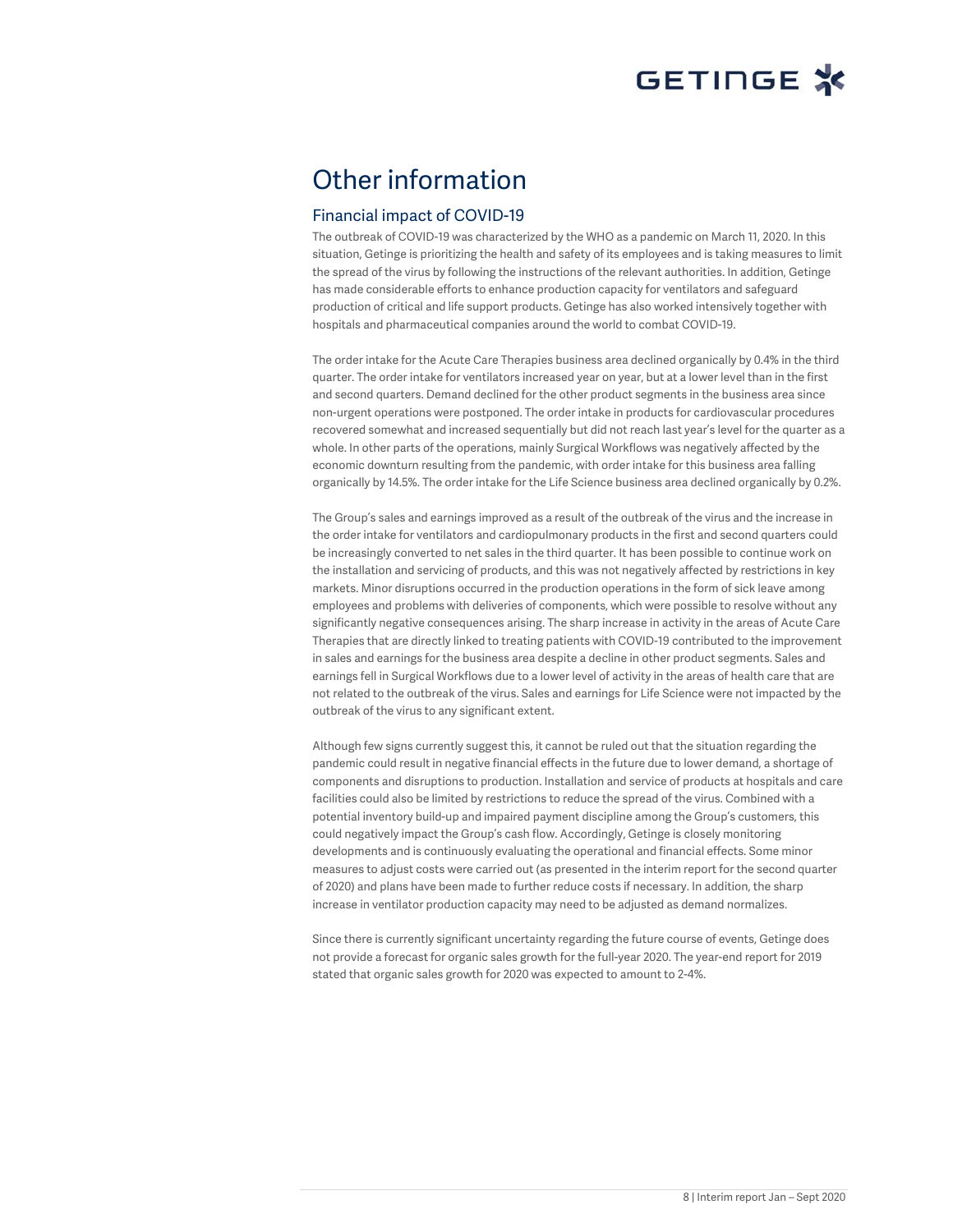# Other information

### Financial impact of COVID-19

The outbreak of COVID-19 was characterized by the WHO as a pandemic on March 11, 2020. In this situation, Getinge is prioritizing the health and safety of its employees and is taking measures to limit the spread of the virus by following the instructions of the relevant authorities. In addition, Getinge has made considerable efforts to enhance production capacity for ventilators and safeguard production of critical and life support products. Getinge has also worked intensively together with hospitals and pharmaceutical companies around the world to combat COVID-19.

The order intake for the Acute Care Therapies business area declined organically by 0.4% in the third quarter. The order intake for ventilators increased year on year, but at a lower level than in the first and second quarters. Demand declined for the other product segments in the business area since non-urgent operations were postponed. The order intake in products for cardiovascular procedures recovered somewhat and increased sequentially but did not reach last year's level for the quarter as a whole. In other parts of the operations, mainly Surgical Workflows was negatively affected by the economic downturn resulting from the pandemic, with order intake for this business area falling organically by 14.5%. The order intake for the Life Science business area declined organically by 0.2%.

The Group's sales and earnings improved as a result of the outbreak of the virus and the increase in the order intake for ventilators and cardiopulmonary products in the first and second quarters could be increasingly converted to net sales in the third quarter. It has been possible to continue work on the installation and servicing of products, and this was not negatively affected by restrictions in key markets. Minor disruptions occurred in the production operations in the form of sick leave among employees and problems with deliveries of components, which were possible to resolve without any significantly negative consequences arising. The sharp increase in activity in the areas of Acute Care Therapies that are directly linked to treating patients with COVID-19 contributed to the improvement in sales and earnings for the business area despite a decline in other product segments. Sales and earnings fell in Surgical Workflows due to a lower level of activity in the areas of health care that are not related to the outbreak of the virus. Sales and earnings for Life Science were not impacted by the outbreak of the virus to any significant extent.

Although few signs currently suggest this, it cannot be ruled out that the situation regarding the pandemic could result in negative financial effects in the future due to lower demand, a shortage of components and disruptions to production. Installation and service of products at hospitals and care facilities could also be limited by restrictions to reduce the spread of the virus. Combined with a potential inventory build-up and impaired payment discipline among the Group's customers, this could negatively impact the Group's cash flow. Accordingly, Getinge is closely monitoring developments and is continuously evaluating the operational and financial effects. Some minor measures to adjust costs were carried out (as presented in the interim report for the second quarter of 2020) and plans have been made to further reduce costs if necessary. In addition, the sharp increase in ventilator production capacity may need to be adjusted as demand normalizes.

Since there is currently significant uncertainty regarding the future course of events, Getinge does not provide a forecast for organic sales growth for the full-year 2020. The year-end report for 2019 stated that organic sales growth for 2020 was expected to amount to 2-4%.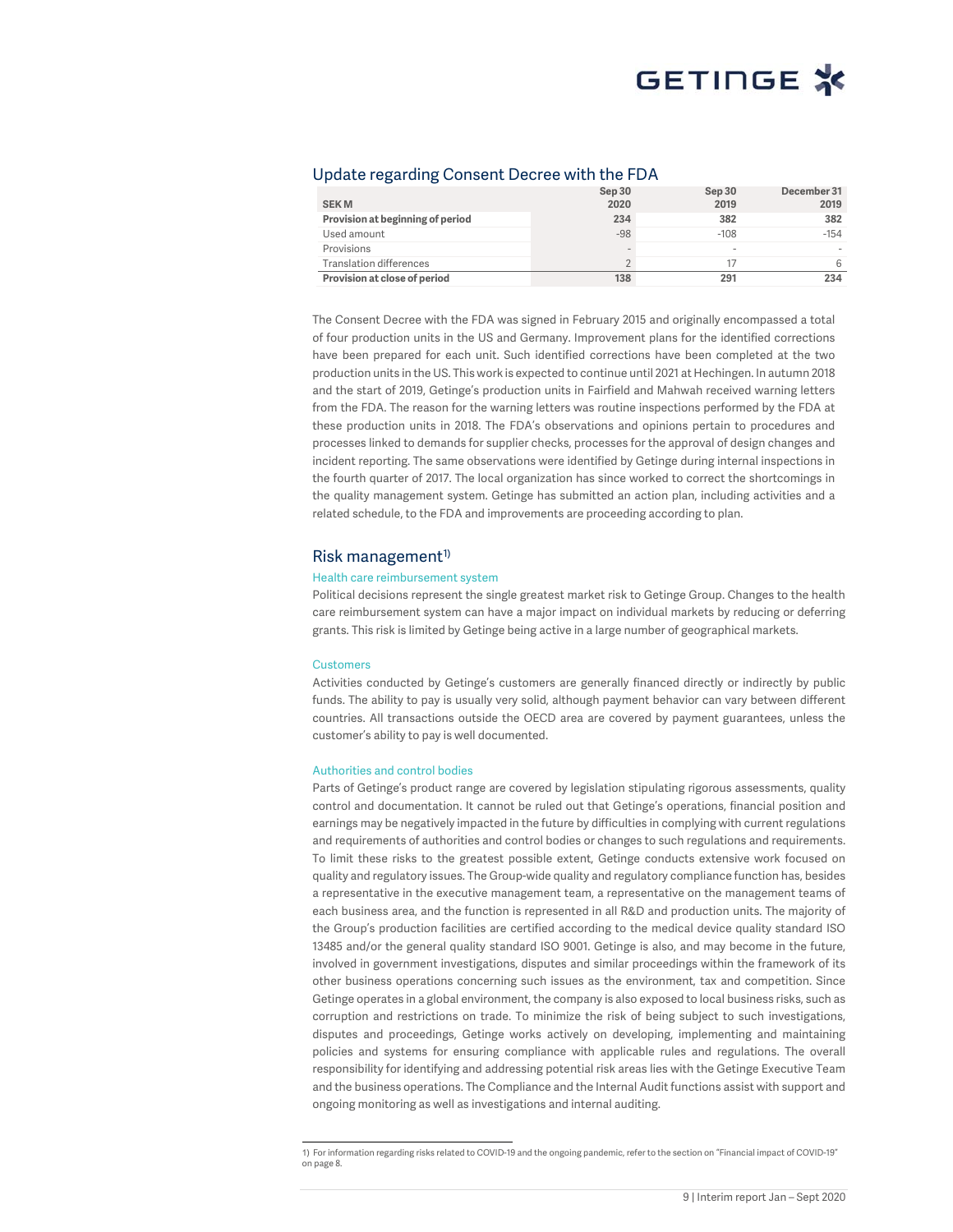### Update regarding Consent Decree with the FDA

| <b>SEKM</b>                      | Sep 30<br>2020           | Sep 30<br>2019           | December 31<br>2019 |
|----------------------------------|--------------------------|--------------------------|---------------------|
| Provision at beginning of period | 234                      | 382                      | 382                 |
| Used amount                      | $-98$                    | $-108$                   | $-154$              |
| Provisions                       | $\overline{\phantom{a}}$ | $\overline{\phantom{a}}$ |                     |
| <b>Translation differences</b>   | $\mathcal{D}$            |                          | 6                   |
| Provision at close of period     | 138                      | 291                      | 234                 |

The Consent Decree with the FDA was signed in February 2015 and originally encompassed a total of four production units in the US and Germany. Improvement plans for the identified corrections have been prepared for each unit. Such identified corrections have been completed at the two production units in the US. This work is expected to continue until 2021 at Hechingen. In autumn 2018 and the start of 2019, Getinge's production units in Fairfield and Mahwah received warning letters from the FDA. The reason for the warning letters was routine inspections performed by the FDA at these production units in 2018. The FDA's observations and opinions pertain to procedures and processes linked to demands for supplier checks, processes for the approval of design changes and incident reporting. The same observations were identified by Getinge during internal inspections in the fourth quarter of 2017. The local organization has since worked to correct the shortcomings in the quality management system. Getinge has submitted an action plan, including activities and a related schedule, to the FDA and improvements are proceeding according to plan.

### Risk management<sup> $1$ </sup>

#### Health care reimbursement system

Political decisions represent the single greatest market risk to Getinge Group. Changes to the health care reimbursement system can have a major impact on individual markets by reducing or deferring grants. This risk is limited by Getinge being active in a large number of geographical markets.

#### Customers

Activities conducted by Getinge's customers are generally financed directly or indirectly by public funds. The ability to pay is usually very solid, although payment behavior can vary between different countries. All transactions outside the OECD area are covered by payment guarantees, unless the customer's ability to pay is well documented.

#### Authorities and control bodies

Parts of Getinge's product range are covered by legislation stipulating rigorous assessments, quality control and documentation. It cannot be ruled out that Getinge's operations, financial position and earnings may be negatively impacted in the future by difficulties in complying with current regulations and requirements of authorities and control bodies or changes to such regulations and requirements. To limit these risks to the greatest possible extent, Getinge conducts extensive work focused on quality and regulatory issues. The Group-wide quality and regulatory compliance function has, besides a representative in the executive management team, a representative on the management teams of each business area, and the function is represented in all R&D and production units. The majority of the Group's production facilities are certified according to the medical device quality standard ISO 13485 and/or the general quality standard ISO 9001. Getinge is also, and may become in the future, involved in government investigations, disputes and similar proceedings within the framework of its other business operations concerning such issues as the environment, tax and competition. Since Getinge operates in a global environment, the company is also exposed to local business risks, such as corruption and restrictions on trade. To minimize the risk of being subject to such investigations, disputes and proceedings, Getinge works actively on developing, implementing and maintaining policies and systems for ensuring compliance with applicable rules and regulations. The overall responsibility for identifying and addressing potential risk areas lies with the Getinge Executive Team and the business operations. The Compliance and the Internal Audit functions assist with support and ongoing monitoring as well as investigations and internal auditing.

 <sup>1</sup>) For information regarding risks related to COVID-19 and the ongoing pandemic, refer to the section on "Financial impact of COVID-19" on page 8.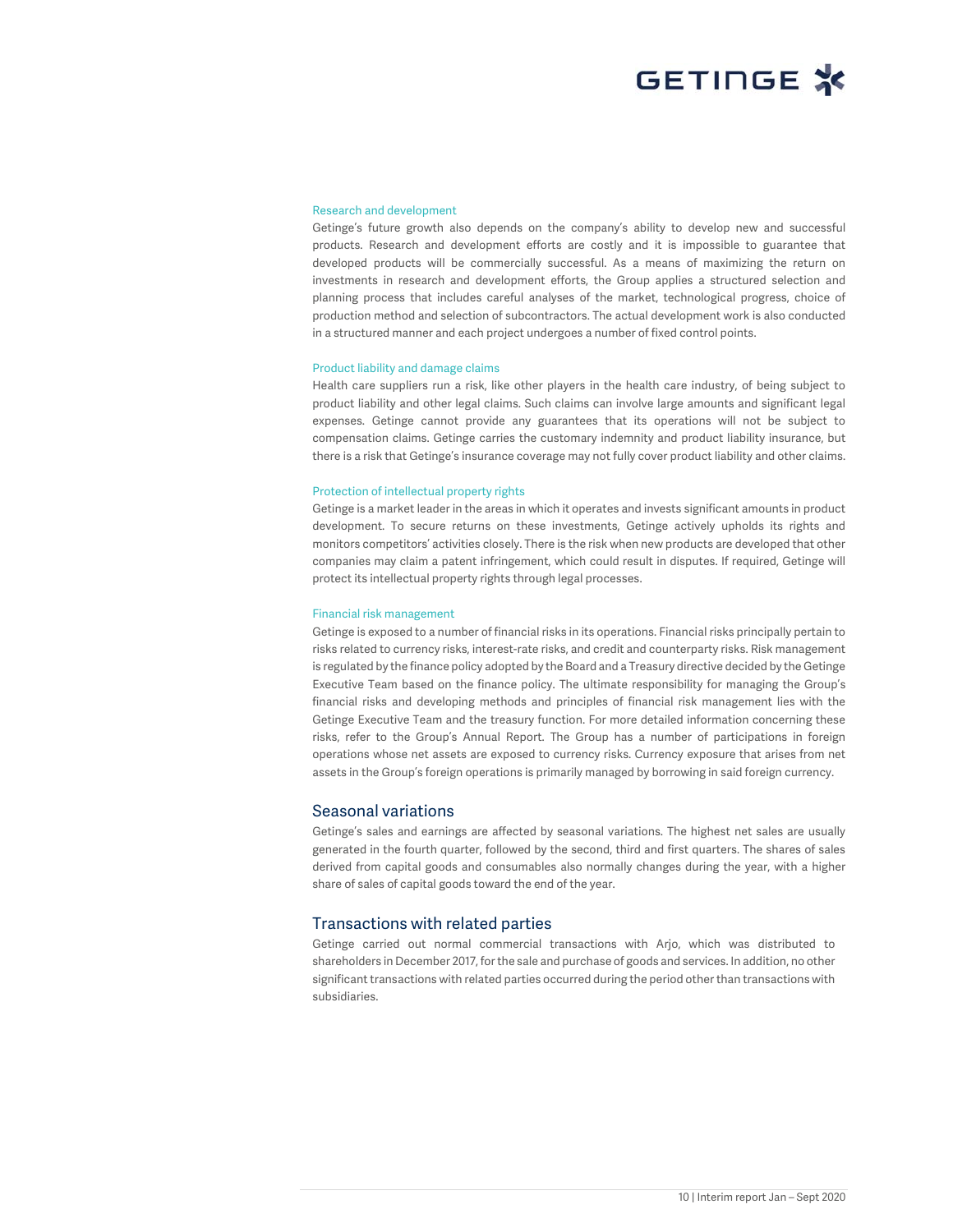#### Research and development

Getinge's future growth also depends on the company's ability to develop new and successful products. Research and development efforts are costly and it is impossible to guarantee that developed products will be commercially successful. As a means of maximizing the return on investments in research and development efforts, the Group applies a structured selection and planning process that includes careful analyses of the market, technological progress, choice of production method and selection of subcontractors. The actual development work is also conducted in a structured manner and each project undergoes a number of fixed control points.

#### Product liability and damage claims

Health care suppliers run a risk, like other players in the health care industry, of being subject to product liability and other legal claims. Such claims can involve large amounts and significant legal expenses. Getinge cannot provide any guarantees that its operations will not be subject to compensation claims. Getinge carries the customary indemnity and product liability insurance, but there is a risk that Getinge's insurance coverage may not fully cover product liability and other claims.

#### Protection of intellectual property rights

Getinge is a market leader in the areas in which it operates and invests significant amounts in product development. To secure returns on these investments, Getinge actively upholds its rights and monitors competitors' activities closely. There is the risk when new products are developed that other companies may claim a patent infringement, which could result in disputes. If required, Getinge will protect its intellectual property rights through legal processes.

#### Financial risk management

Getinge is exposed to a number of financial risks in its operations. Financial risks principally pertain to risks related to currency risks, interest-rate risks, and credit and counterparty risks. Risk management is regulated by the finance policy adopted by the Board and a Treasury directive decided by the Getinge Executive Team based on the finance policy. The ultimate responsibility for managing the Group's financial risks and developing methods and principles of financial risk management lies with the Getinge Executive Team and the treasury function. For more detailed information concerning these risks, refer to the Group's Annual Report. The Group has a number of participations in foreign operations whose net assets are exposed to currency risks. Currency exposure that arises from net assets in the Group's foreign operations is primarily managed by borrowing in said foreign currency.

#### Seasonal variations

Getinge's sales and earnings are affected by seasonal variations. The highest net sales are usually generated in the fourth quarter, followed by the second, third and first quarters. The shares of sales derived from capital goods and consumables also normally changes during the year, with a higher share of sales of capital goods toward the end of the year.

### Transactions with related parties

Getinge carried out normal commercial transactions with Arjo, which was distributed to shareholders in December 2017, for the sale and purchase of goods and services. In addition, no other significant transactions with related parties occurred during the period other than transactions with subsidiaries.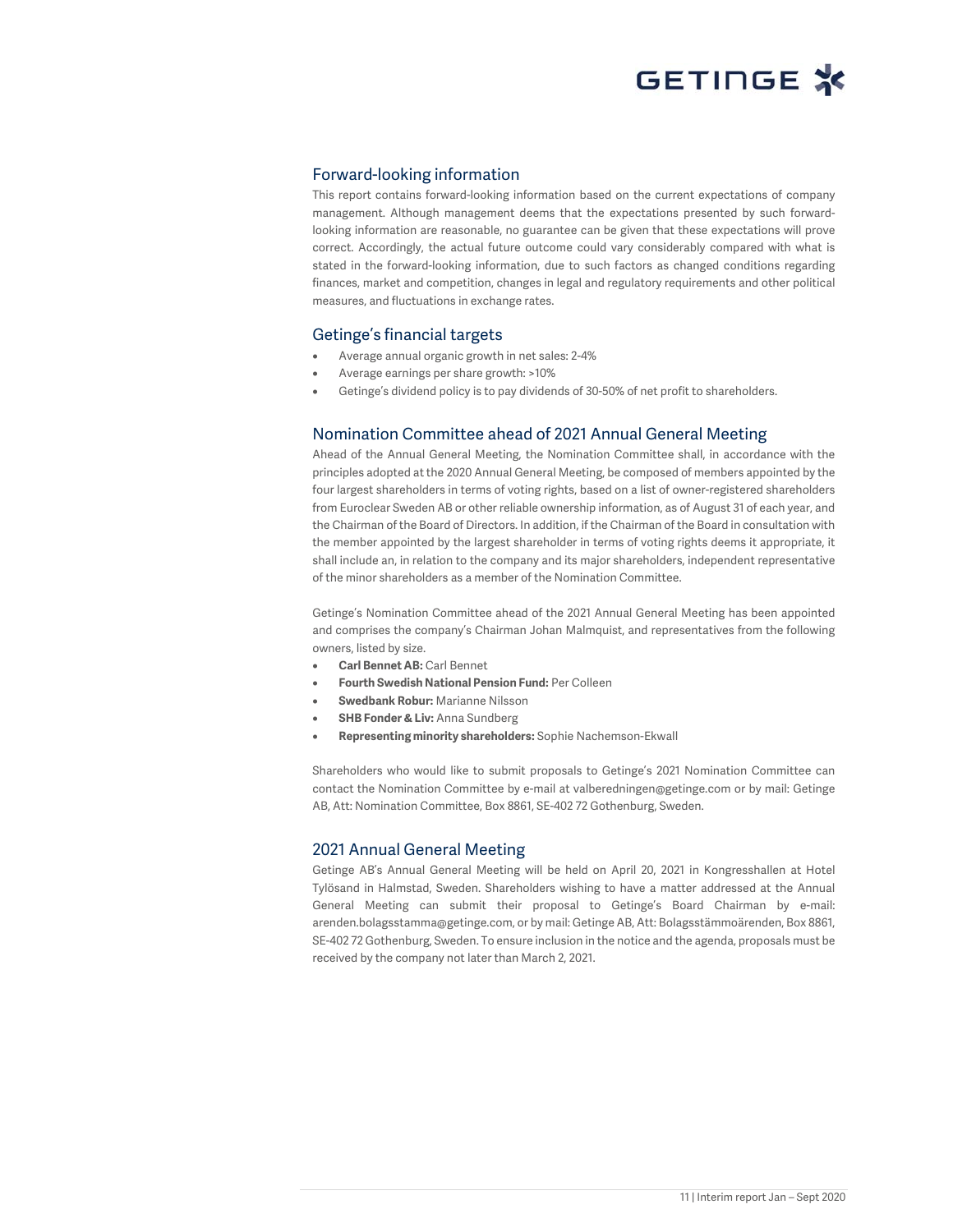### Forward-looking information

This report contains forward-looking information based on the current expectations of company management. Although management deems that the expectations presented by such forwardlooking information are reasonable, no guarantee can be given that these expectations will prove correct. Accordingly, the actual future outcome could vary considerably compared with what is stated in the forward-looking information, due to such factors as changed conditions regarding finances, market and competition, changes in legal and regulatory requirements and other political measures, and fluctuations in exchange rates.

### Getinge's financial targets

- Average annual organic growth in net sales: 2-4%
- Average earnings per share growth: >10%
- Getinge's dividend policy is to pay dividends of 30-50% of net profit to shareholders.

### Nomination Committee ahead of 2021 Annual General Meeting

Ahead of the Annual General Meeting, the Nomination Committee shall, in accordance with the principles adopted at the 2020 Annual General Meeting, be composed of members appointed by the four largest shareholders in terms of voting rights, based on a list of owner-registered shareholders from Euroclear Sweden AB or other reliable ownership information, as of August 31 of each year, and the Chairman of the Board of Directors. In addition, if the Chairman of the Board in consultation with the member appointed by the largest shareholder in terms of voting rights deems it appropriate, it shall include an, in relation to the company and its major shareholders, independent representative of the minor shareholders as a member of the Nomination Committee.

Getinge's Nomination Committee ahead of the 2021 Annual General Meeting has been appointed and comprises the company's Chairman Johan Malmquist, and representatives from the following owners, listed by size.

- **Carl Bennet AB:** Carl Bennet
- **Fourth Swedish National Pension Fund:** Per Colleen
- **Swedbank Robur:** Marianne Nilsson
- **SHB Fonder & Liv:** Anna Sundberg
- **Representing minority shareholders:** Sophie Nachemson-Ekwall

Shareholders who would like to submit proposals to Getinge's 2021 Nomination Committee can contact the Nomination Committee by e-mail at valberedningen@getinge.com or by mail: Getinge AB, Att: Nomination Committee, Box 8861, SE-402 72 Gothenburg, Sweden.

#### 2021 Annual General Meeting

Getinge AB's Annual General Meeting will be held on April 20, 2021 in Kongresshallen at Hotel Tylösand in Halmstad, Sweden. Shareholders wishing to have a matter addressed at the Annual General Meeting can submit their proposal to Getinge's Board Chairman by e-mail: arenden.bolagsstamma@getinge.com, or by mail: Getinge AB, Att: Bolagsstämmoärenden, Box 8861, SE-402 72 Gothenburg, Sweden. To ensure inclusion in the notice and the agenda, proposals must be received by the company not later than March 2, 2021.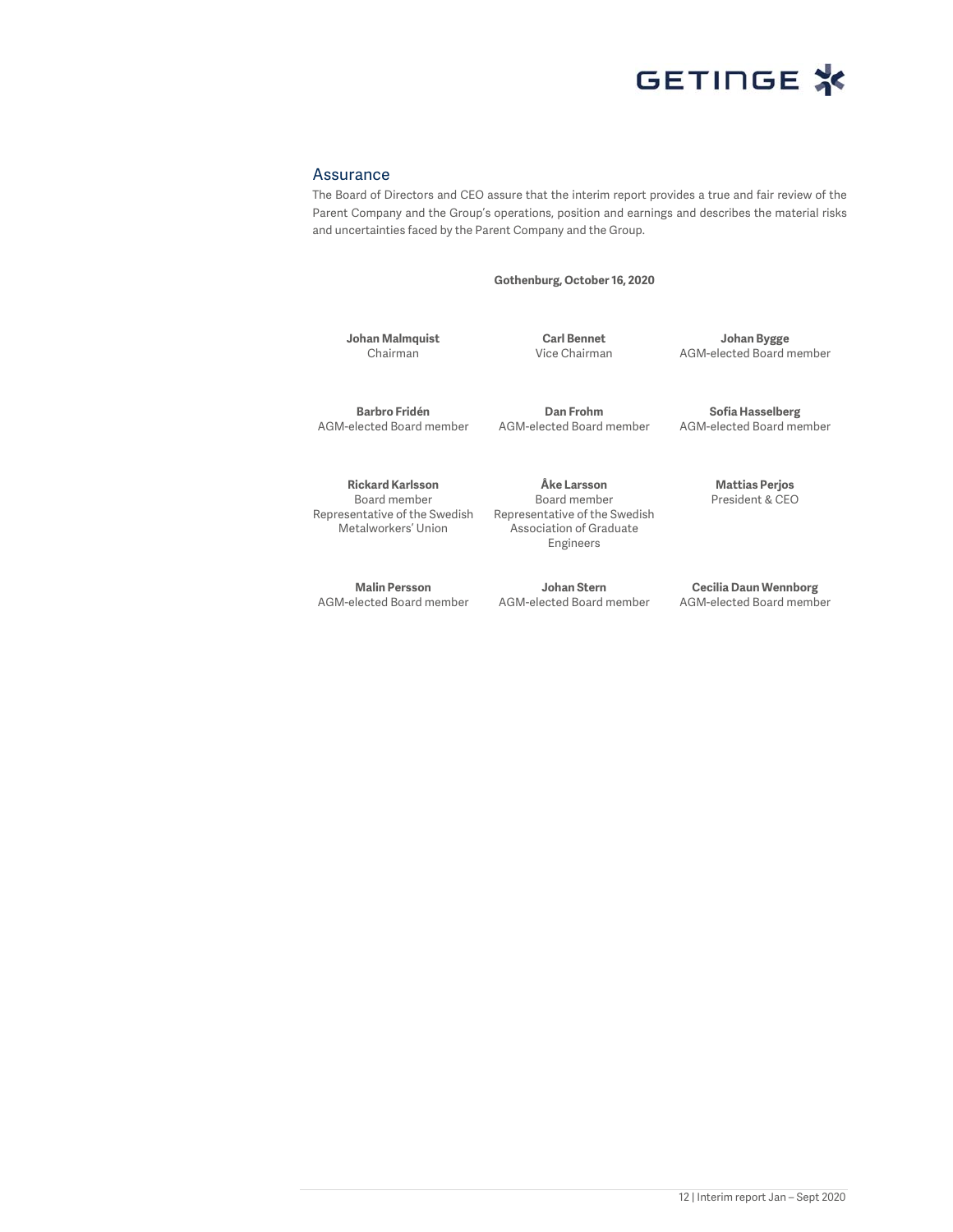

#### Assurance

The Board of Directors and CEO assure that the interim report provides a true and fair review of the Parent Company and the Group's operations, position and earnings and describes the material risks and uncertainties faced by the Parent Company and the Group.

**Gothenburg, October 16, 2020** 

**Johan Malmquist**  Chairman

**Carl Bennet**  Vice Chairman

**Johan Bygge**  AGM-elected Board member

**Barbro Fridén**  AGM-elected Board member

**Dan Frohm**  AGM-elected Board member

**Rickard Karlsson**  Board member Representative of the Swedish Metalworkers' Union

**Malin Persson**  AGM-elected Board member

**Åke Larsson**  Board member Representative of the Swedish Association of Graduate Engineers

**Johan Stern**  AGM-elected Board member

**Sofia Hasselberg**  AGM-elected Board member

> **Mattias Perjos**  President & CEO

**Cecilia Daun Wennborg**  AGM-elected Board member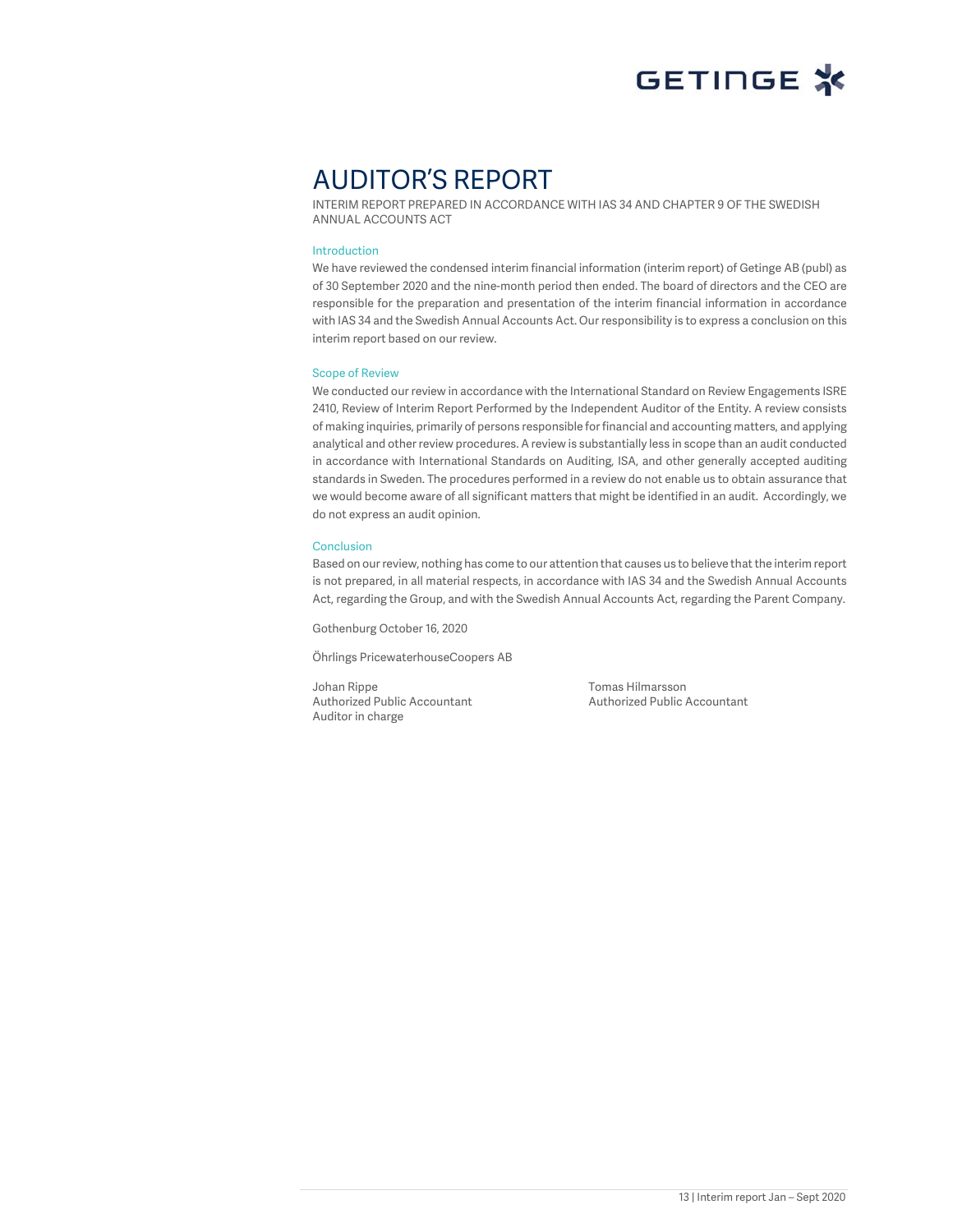# AUDITOR'S REPORT

INTERIM REPORT PREPARED IN ACCORDANCE WITH IAS 34 AND CHAPTER 9 OF THE SWEDISH ANNUAL ACCOUNTS ACT

#### Introduction

We have reviewed the condensed interim financial information (interim report) of Getinge AB (publ) as of 30 September 2020 and the nine-month period then ended. The board of directors and the CEO are responsible for the preparation and presentation of the interim financial information in accordance with IAS 34 and the Swedish Annual Accounts Act. Our responsibility is to express a conclusion on this interim report based on our review.

#### Scope of Review

We conducted our review in accordance with the International Standard on Review Engagements ISRE 2410, Review of Interim Report Performed by the Independent Auditor of the Entity. A review consists of making inquiries, primarily of persons responsible for financial and accounting matters, and applying analytical and other review procedures. A review is substantially less in scope than an audit conducted in accordance with International Standards on Auditing, ISA, and other generally accepted auditing standards in Sweden. The procedures performed in a review do not enable us to obtain assurance that we would become aware of all significant matters that might be identified in an audit. Accordingly, we do not express an audit opinion.

#### **Conclusion**

Based on our review, nothing has come to our attention that causes us to believe that the interim report is not prepared, in all material respects, in accordance with IAS 34 and the Swedish Annual Accounts Act, regarding the Group, and with the Swedish Annual Accounts Act, regarding the Parent Company.

Gothenburg October 16, 2020

Öhrlings PricewaterhouseCoopers AB

Johan Rippe Tomas Hilmarsson Authorized Public Accountant Authorized Public Accountant Auditor in charge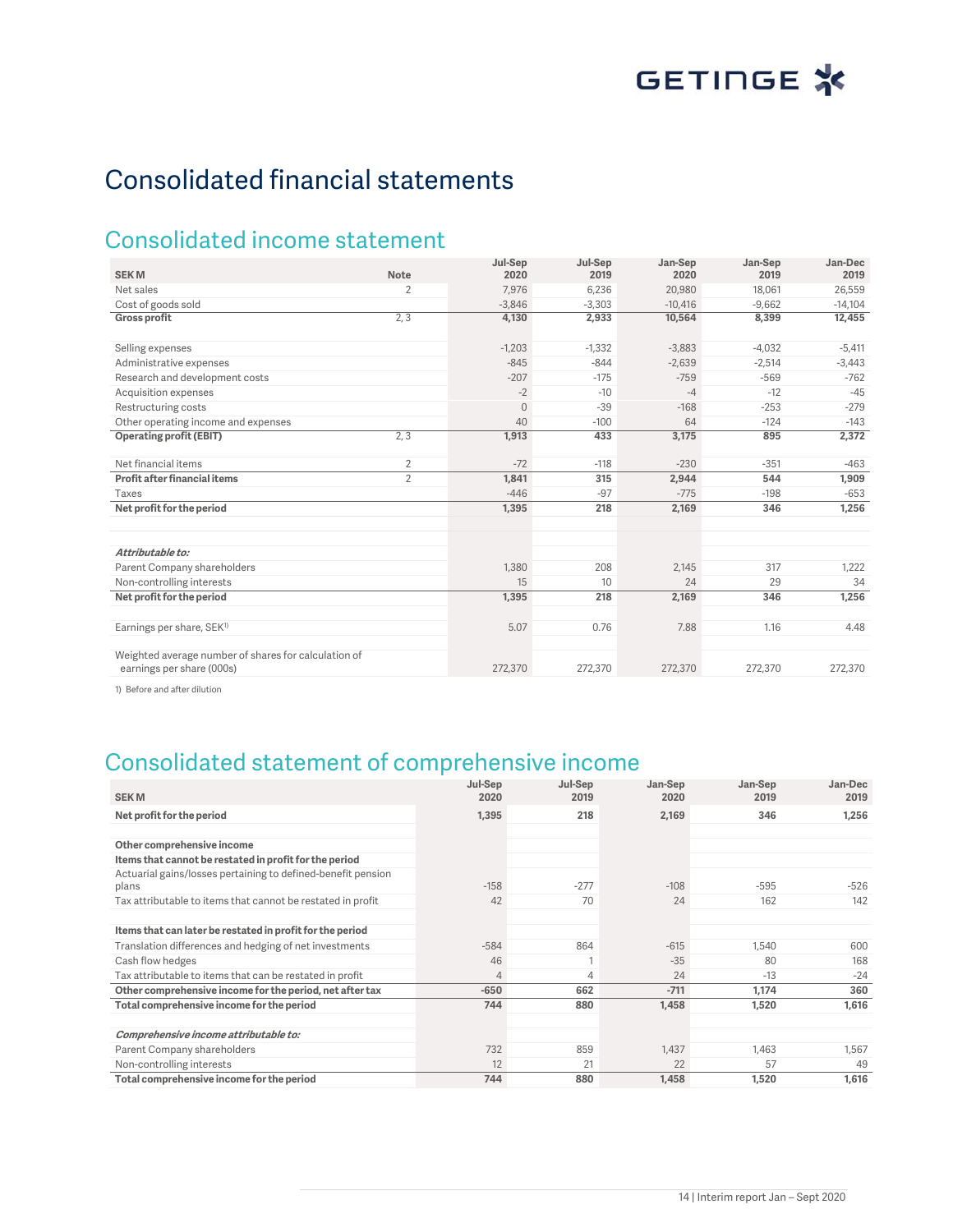# Consolidated financial statements

## Consolidated income statement

|                                                                                   |                | Jul-Sep      | Jul-Sep  | Jan-Sep   | Jan-Sep  | Jan-Dec   |
|-----------------------------------------------------------------------------------|----------------|--------------|----------|-----------|----------|-----------|
| <b>SEKM</b>                                                                       | <b>Note</b>    | 2020         | 2019     | 2020      | 2019     | 2019      |
| Net sales                                                                         | $\overline{2}$ | 7.976        | 6,236    | 20,980    | 18,061   | 26,559    |
| Cost of goods sold                                                                |                | $-3,846$     | $-3.303$ | $-10.416$ | $-9,662$ | $-14,104$ |
| <b>Gross profit</b>                                                               | 2, 3           | 4,130        | 2,933    | 10,564    | 8,399    | 12,455    |
| Selling expenses                                                                  |                | $-1,203$     | $-1,332$ | $-3,883$  | $-4,032$ | $-5,411$  |
| Administrative expenses                                                           |                | $-845$       | $-844$   | $-2,639$  | $-2,514$ | $-3,443$  |
| Research and development costs                                                    |                | $-207$       | $-175$   | $-759$    | $-569$   | $-762$    |
| <b>Acquisition expenses</b>                                                       |                | $-2$         | $-10$    | $-4$      | $-12$    | $-45$     |
| Restructuring costs                                                               |                | $\mathbf{0}$ | $-39$    | $-168$    | $-253$   | $-279$    |
| Other operating income and expenses                                               |                | 40           | $-100$   | 64        | $-124$   | $-143$    |
| <b>Operating profit (EBIT)</b>                                                    | 2, 3           | 1,913        | 433      | 3,175     | 895      | 2,372     |
| Net financial items                                                               | 2              | $-72$        | $-118$   | $-230$    | $-351$   | $-463$    |
| Profit after financial items                                                      | $\overline{2}$ | 1,841        | 315      | 2,944     | 544      | 1,909     |
| Taxes                                                                             |                | $-446$       | $-97$    | $-775$    | $-198$   | $-653$    |
| Net profit for the period                                                         |                | 1,395        | 218      | 2,169     | 346      | 1,256     |
|                                                                                   |                |              |          |           |          |           |
| Attributable to:                                                                  |                |              |          |           |          |           |
| Parent Company shareholders                                                       |                | 1,380        | 208      | 2,145     | 317      | 1,222     |
| Non-controlling interests                                                         |                | 15           | 10       | 24        | 29       | 34        |
| Net profit for the period                                                         |                | 1,395        | 218      | 2,169     | 346      | 1,256     |
| Earnings per share, SEK <sup>1)</sup>                                             |                | 5.07         | 0.76     | 7.88      | 1.16     | 4.48      |
| Weighted average number of shares for calculation of<br>earnings per share (000s) |                | 272,370      | 272,370  | 272,370   | 272,370  | 272,370   |

1) Before and after dilution

## Consolidated statement of comprehensive income

| <b>SEKM</b>                                                  | Jul-Sep<br>2020 | Jul-Sep<br>2019 | Jan-Sep<br>2020 | Jan-Sep<br>2019 | Jan-Dec<br>2019 |
|--------------------------------------------------------------|-----------------|-----------------|-----------------|-----------------|-----------------|
| Net profit for the period                                    | 1,395           | 218             | 2,169           | 346             | 1,256           |
|                                                              |                 |                 |                 |                 |                 |
| Other comprehensive income                                   |                 |                 |                 |                 |                 |
| Items that cannot be restated in profit for the period       |                 |                 |                 |                 |                 |
| Actuarial gains/losses pertaining to defined-benefit pension |                 |                 |                 |                 |                 |
| plans                                                        | $-158$          | $-277$          | $-108$          | $-595$          | $-526$          |
| Tax attributable to items that cannot be restated in profit  | 42              | 70              | 24              | 162             | 142             |
|                                                              |                 |                 |                 |                 |                 |
| Items that can later be restated in profit for the period    |                 |                 |                 |                 |                 |
| Translation differences and hedging of net investments       | $-584$          | 864             | $-615$          | 1,540           | 600             |
| Cash flow hedges                                             | 46              |                 | $-35$           | 80              | 168             |
| Tax attributable to items that can be restated in profit     | $\overline{4}$  | 4               | 24              | $-13$           | $-24$           |
| Other comprehensive income for the period, net after tax     | $-650$          | 662             | $-711$          | 1.174           | 360             |
| Total comprehensive income for the period                    | 744             | 880             | 1,458           | 1,520           | 1,616           |
|                                                              |                 |                 |                 |                 |                 |
| Comprehensive income attributable to:                        |                 |                 |                 |                 |                 |
| Parent Company shareholders                                  | 732             | 859             | 1.437           | 1,463           | 1,567           |
| Non-controlling interests                                    | 12              | 21              | 22              | 57              | 49              |
| Total comprehensive income for the period                    | 744             | 880             | 1,458           | 1,520           | 1,616           |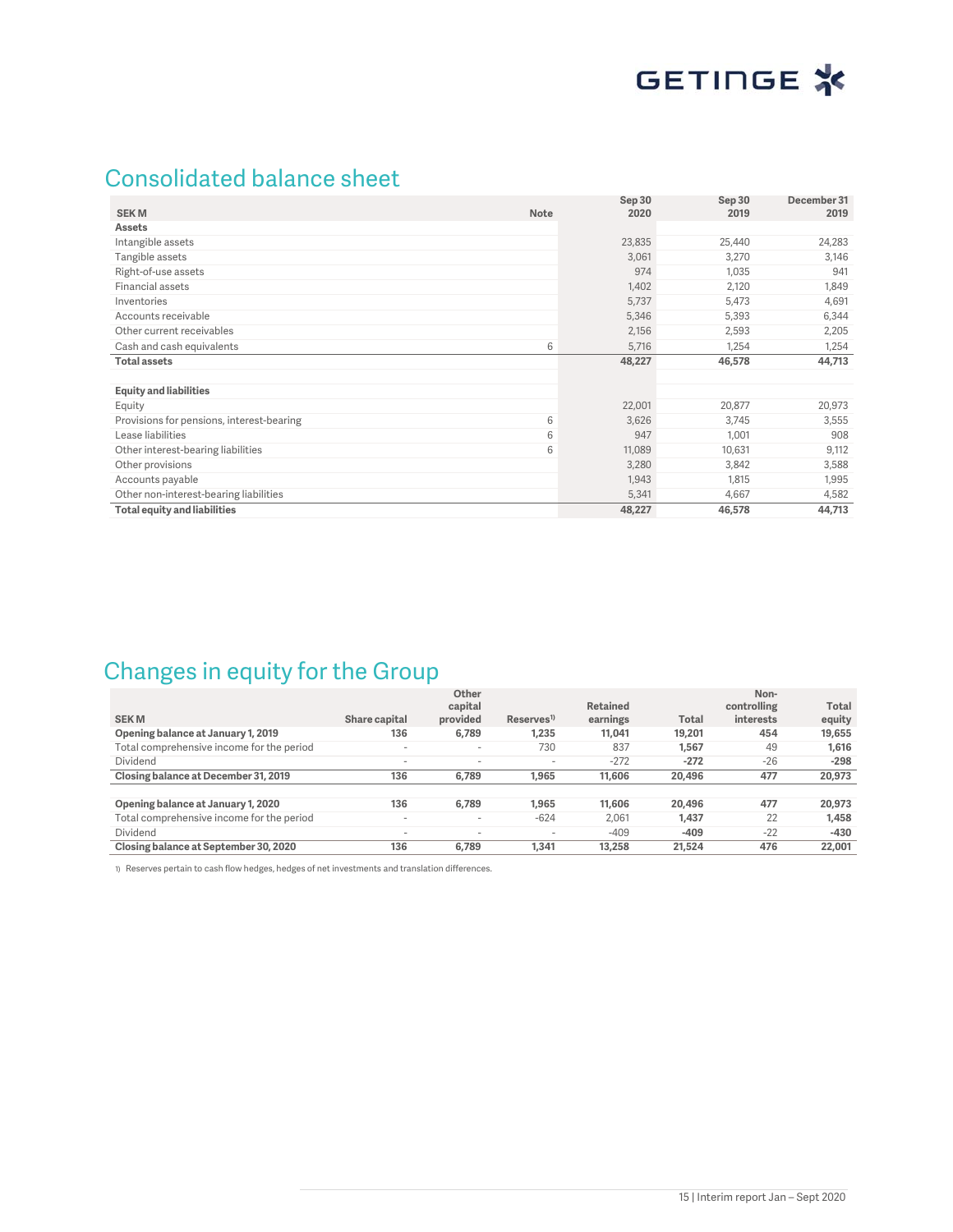## Consolidated balance sheet

| <b>SEKM</b><br><b>Note</b>                     | Sep 30<br>2020 | Sep 30<br>2019 | December 31<br>2019 |
|------------------------------------------------|----------------|----------------|---------------------|
| <b>Assets</b>                                  |                |                |                     |
| Intangible assets                              | 23,835         | 25,440         | 24,283              |
| Tangible assets                                | 3,061          | 3,270          | 3,146               |
| Right-of-use assets                            | 974            | 1,035          | 941                 |
| Financial assets                               | 1,402          | 2,120          | 1,849               |
| Inventories                                    | 5,737          | 5,473          | 4,691               |
| Accounts receivable                            | 5,346          | 5,393          | 6,344               |
| Other current receivables                      | 2,156          | 2,593          | 2,205               |
| 6<br>Cash and cash equivalents                 | 5,716          | 1,254          | 1,254               |
| <b>Total assets</b>                            | 48,227         | 46,578         | 44,713              |
|                                                |                |                |                     |
| <b>Equity and liabilities</b>                  |                |                |                     |
| Equity                                         | 22,001         | 20,877         | 20,973              |
| Provisions for pensions, interest-bearing<br>6 | 3,626          | 3,745          | 3,555               |
| 6<br>Lease liabilities                         | 947            | 1,001          | 908                 |
| 6<br>Other interest-bearing liabilities        | 11,089         | 10,631         | 9,112               |
| Other provisions                               | 3,280          | 3,842          | 3,588               |
| Accounts payable                               | 1,943          | 1,815          | 1,995               |
| Other non-interest-bearing liabilities         | 5,341          | 4,667          | 4,582               |
| Total equity and liabilities                   | 48,227         | 46,578         | 44,713              |

## Changes in equity for the Group

| <b>SEKM</b>                               | Share capital            | Other<br>capital<br>provided | Reserves <sup>1)</sup>   | <b>Retained</b><br>earnings | <b>Total</b> | Non-<br>controlling<br>interests | Total<br>equity |
|-------------------------------------------|--------------------------|------------------------------|--------------------------|-----------------------------|--------------|----------------------------------|-----------------|
| Opening balance at January 1, 2019        | 136                      | 6.789                        | 1,235                    | 11.041                      | 19.201       | 454                              | 19,655          |
| Total comprehensive income for the period | $\overline{\phantom{a}}$ | $\overline{\phantom{a}}$     | 730                      | 837                         | 1.567        | 49                               | 1,616           |
| Dividend                                  | $\overline{\phantom{a}}$ | $\overline{\phantom{a}}$     | $\sim$                   | $-272$                      | $-272$       | $-26$                            | $-298$          |
| Closing balance at December 31, 2019      | 136                      | 6.789                        | 1.965                    | 11.606                      | 20.496       | 477                              | 20,973          |
|                                           |                          |                              |                          |                             |              |                                  |                 |
| Opening balance at January 1, 2020        | 136                      | 6.789                        | 1.965                    | 11,606                      | 20.496       | 477                              | 20,973          |
| Total comprehensive income for the period | $\overline{\phantom{a}}$ | $\sim$                       | $-624$                   | 2.061                       | 1.437        | 22                               | 1.458           |
| Dividend                                  | $\overline{\phantom{a}}$ | $\overline{\phantom{a}}$     | $\overline{\phantom{a}}$ | $-409$                      | $-409$       | $-22$                            | $-430$          |
| Closing balance at September 30, 2020     | 136                      | 6.789                        | 1.341                    | 13,258                      | 21,524       | 476                              | 22,001          |

1) Reserves pertain to cash flow hedges, hedges of net investments and translation differences.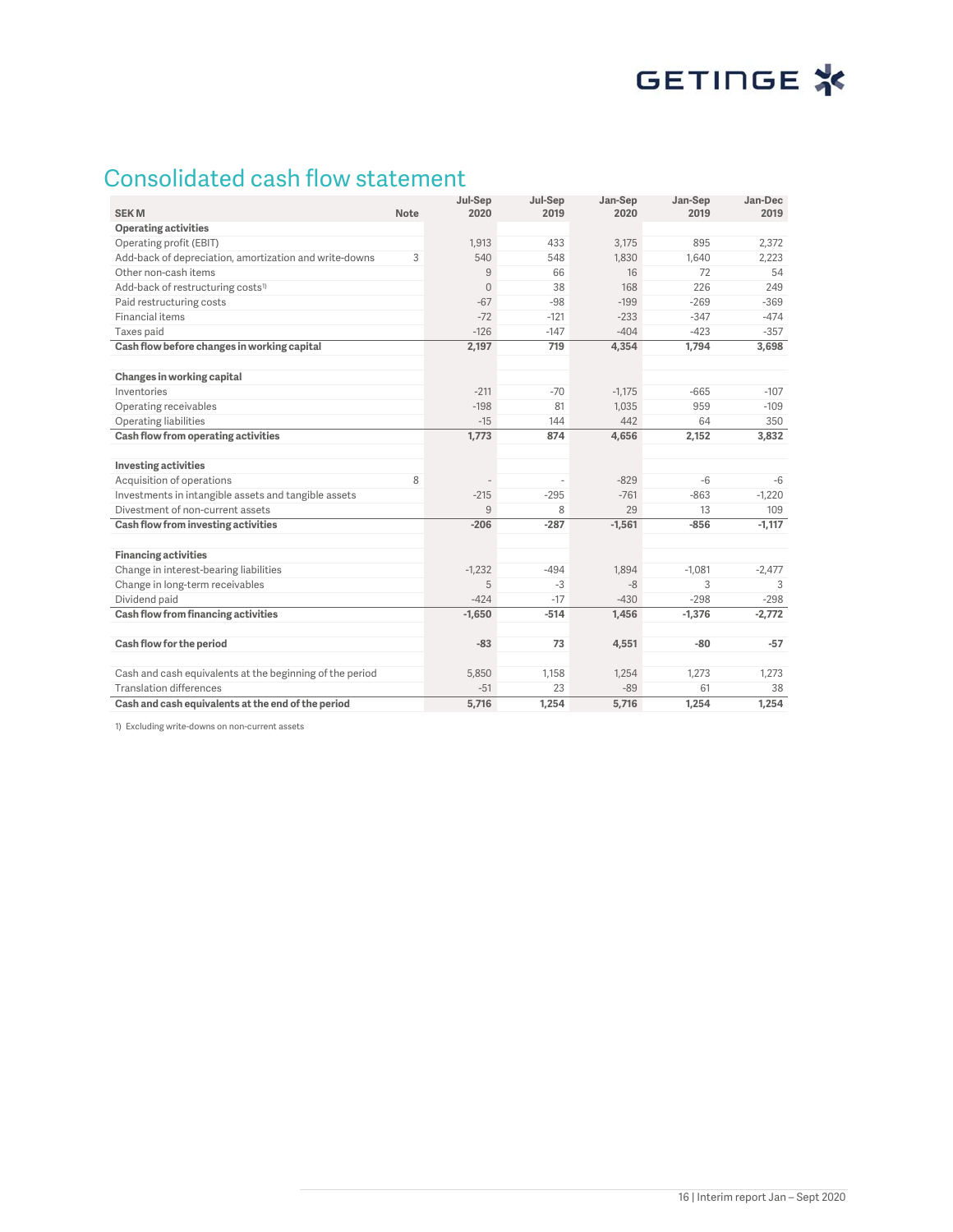## Consolidated cash flow statement

| <b>SEKM</b>                                              | <b>Note</b> | Jul-Sep<br>2020 | Jul-Sep<br>2019 | Jan-Sep<br>2020 | Jan-Sep<br>2019 | Jan-Dec<br>2019 |
|----------------------------------------------------------|-------------|-----------------|-----------------|-----------------|-----------------|-----------------|
| <b>Operating activities</b>                              |             |                 |                 |                 |                 |                 |
| Operating profit (EBIT)                                  |             | 1.913           | 433             | 3.175           | 895             | 2.372           |
| Add-back of depreciation, amortization and write-downs   | 3           | 540             | 548             | 1.830           | 1,640           | 2,223           |
| Other non-cash items                                     |             | 9               | 66              | 16              | 72              | 54              |
| Add-back of restructuring costs <sup>1)</sup>            |             | $\overline{0}$  | 38              | 168             | 226             | 249             |
| Paid restructuring costs                                 |             | $-67$           | $-98$           | $-199$          | $-269$          | $-369$          |
| Financial items                                          |             | $-72$           | $-121$          | $-233$          | $-347$          | $-474$          |
| Taxes paid                                               |             | $-126$          | $-147$          | $-404$          | $-423$          | $-357$          |
| Cash flow before changes in working capital              |             | 2,197           | 719             | 4,354           | 1,794           | 3,698           |
|                                                          |             |                 |                 |                 |                 |                 |
| Changes in working capital                               |             |                 |                 |                 |                 |                 |
| Inventories                                              |             | $-211$          | $-70$           | $-1.175$        | $-665$          | $-107$          |
| Operating receivables                                    |             | $-198$          | 81              | 1,035           | 959             | $-109$          |
| Operating liabilities                                    |             | $-15$           | 144             | 442             | 64              | 350             |
| Cash flow from operating activities                      |             | 1,773           | 874             | 4,656           | 2,152           | 3,832           |
|                                                          |             |                 |                 |                 |                 |                 |
| <b>Investing activities</b>                              |             |                 |                 |                 |                 |                 |
| Acquisition of operations                                | 8           |                 |                 | $-829$          | $-6$            | -6              |
| Investments in intangible assets and tangible assets     |             | $-215$          | $-295$          | $-761$          | $-863$          | $-1,220$        |
| Divestment of non-current assets                         |             | 9               | 8               | 29              | 13              | 109             |
| Cash flow from investing activities                      |             | $-206$          | $-287$          | $-1,561$        | $-856$          | $-1,117$        |
|                                                          |             |                 |                 |                 |                 |                 |
| <b>Financing activities</b>                              |             |                 |                 |                 |                 |                 |
| Change in interest-bearing liabilities                   |             | $-1,232$        | $-494$          | 1.894           | $-1,081$        | $-2,477$        |
| Change in long-term receivables                          |             | 5               | $-3$            | $-8$            | 3               | 3               |
| Dividend paid                                            |             | $-424$          | $-17$           | $-430$          | $-298$          | $-298$          |
| Cash flow from financing activities                      |             | $-1,650$        | $-514$          | 1.456           | $-1,376$        | $-2,772$        |
|                                                          |             |                 |                 |                 |                 |                 |
| Cash flow for the period                                 |             | $-83$           | 73              | 4,551           | $-80$           | $-57$           |
| Cash and cash equivalents at the beginning of the period |             | 5,850           | 1,158           | 1,254           | 1,273           | 1,273           |
| <b>Translation differences</b>                           |             | $-51$           | 23              | $-89$           | 61              | 38              |
| Cash and cash equivalents at the end of the period       |             | 5,716           | 1,254           | 5,716           | 1,254           | 1.254           |

1) Excluding write-downs on non-current assets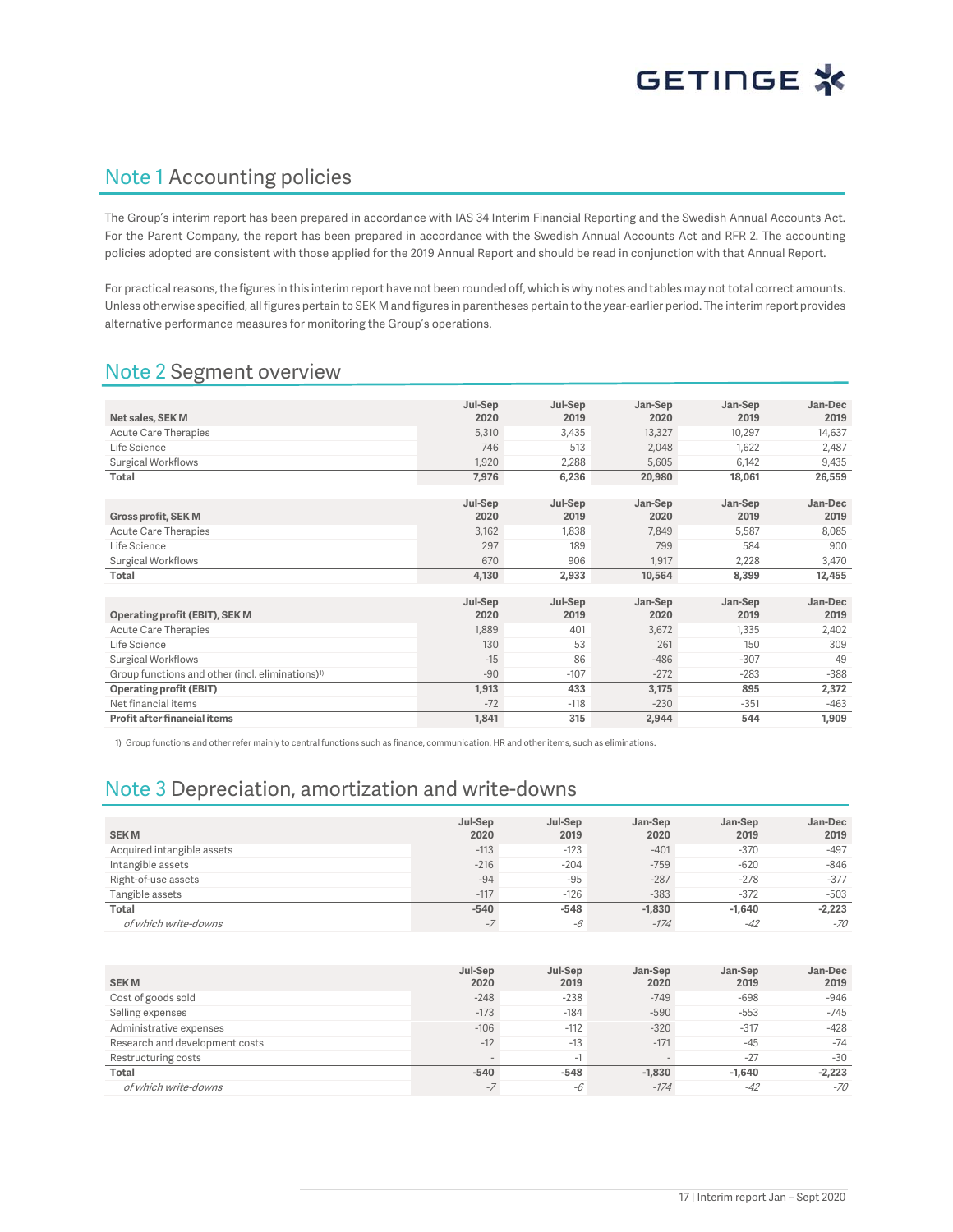## Note 1 Accounting policies

The Group's interim report has been prepared in accordance with IAS 34 Interim Financial Reporting and the Swedish Annual Accounts Act. For the Parent Company, the report has been prepared in accordance with the Swedish Annual Accounts Act and RFR 2. The accounting policies adopted are consistent with those applied for the 2019 Annual Report and should be read in conjunction with that Annual Report.

For practical reasons, the figures in this interim report have not been rounded off, which is why notes and tables may not total correct amounts. Unless otherwise specified, all figures pertain to SEK M and figures in parentheses pertain to the year-earlier period. The interim report provides alternative performance measures for monitoring the Group's operations.

## Note 2 Segment overview

|                                                              | Jul-Sep | Jul-Sep | Jan-Sep | Jan-Sep | Jan-Dec |
|--------------------------------------------------------------|---------|---------|---------|---------|---------|
| Net sales, SEK M                                             | 2020    | 2019    | 2020    | 2019    | 2019    |
| <b>Acute Care Therapies</b>                                  | 5.310   | 3,435   | 13,327  | 10,297  | 14,637  |
| Life Science                                                 | 746     | 513     | 2,048   | 1,622   | 2,487   |
| Surgical Workflows                                           | 1,920   | 2,288   | 5,605   | 6,142   | 9,435   |
| <b>Total</b>                                                 | 7,976   | 6,236   | 20,980  | 18,061  | 26,559  |
|                                                              |         |         |         |         |         |
|                                                              | Jul-Sep | Jul-Sep | Jan-Sep | Jan-Sep | Jan-Dec |
| <b>Gross profit, SEK M</b>                                   | 2020    | 2019    | 2020    | 2019    | 2019    |
| <b>Acute Care Therapies</b>                                  | 3.162   | 1.838   | 7.849   | 5,587   | 8,085   |
| Life Science                                                 | 297     | 189     | 799     | 584     | 900     |
| Surgical Workflows                                           | 670     | 906     | 1.917   | 2,228   | 3,470   |
| Total                                                        | 4,130   | 2,933   | 10,564  | 8,399   | 12,455  |
|                                                              |         |         |         |         |         |
|                                                              | Jul-Sep | Jul-Sep | Jan-Sep | Jan-Sep | Jan-Dec |
| Operating profit (EBIT), SEK M                               | 2020    | 2019    | 2020    | 2019    | 2019    |
| <b>Acute Care Therapies</b>                                  | 1,889   | 401     | 3,672   | 1,335   | 2,402   |
| Life Science                                                 | 130     | 53      | 261     | 150     | 309     |
| <b>Surgical Workflows</b>                                    | $-15$   | 86      | $-486$  | $-307$  | 49      |
| Group functions and other (incl. eliminations) <sup>1)</sup> | $-90$   | $-107$  | $-272$  | $-283$  | $-388$  |
| Operating profit (EBIT)                                      | 1,913   | 433     | 3,175   | 895     | 2,372   |
| Net financial items                                          | $-72$   | $-118$  | $-230$  | $-351$  | $-463$  |
| Profit after financial items                                 | 1,841   | 315     | 2,944   | 544     | 1,909   |

1) Group functions and other refer mainly to central functions such as finance, communication, HR and other items, such as eliminations.

## Note 3 Depreciation, amortization and write-downs

| <b>SEKM</b>                | Jul-Sep<br>2020 | Jul-Sep<br>2019 | Jan-Sep<br>2020 | Jan-Sep<br>2019 | Jan-Dec<br>2019 |
|----------------------------|-----------------|-----------------|-----------------|-----------------|-----------------|
| Acquired intangible assets | $-113$          | $-123$          | $-401$          | $-370$          | $-497$          |
| Intangible assets          | $-216$          | $-204$          | $-759$          | $-620$          | $-846$          |
| Right-of-use assets        | $-94$           | $-95$           | $-287$          | $-278$          | $-377$          |
| Tangible assets            | $-117$          | $-126$          | $-383$          | $-372$          | $-503$          |
| Total                      | $-540$          | $-548$          | $-1.830$        | $-1.640$        | $-2,223$        |
| of which write-downs       | $-$ /           | -6              | $-174$          | $-42$           | $-70$           |

| <b>SEKM</b>                    | Jul-Sep<br>2020 | Jul-Sep<br>2019 | Jan-Sep<br>2020          | Jan-Sep<br>2019 | Jan-Dec<br>2019 |
|--------------------------------|-----------------|-----------------|--------------------------|-----------------|-----------------|
| Cost of goods sold             | $-248$          | $-238$          | $-749$                   | $-698$          | $-946$          |
| Selling expenses               | $-173$          | $-184$          | $-590$                   | $-553$          | $-745$          |
| Administrative expenses        | $-106$          | $-112$          | $-320$                   | $-317$          | $-428$          |
| Research and development costs | $-12$           | $-13$           | $-171$                   | $-45$           | $-74$           |
| Restructuring costs            |                 | - 1             | $\overline{\phantom{a}}$ | $-27$           | $-30$           |
| Total                          | $-540$          | $-548$          | $-1.830$                 | $-1.640$        | $-2,223$        |
| of which write-downs           | $-$ /           | -6              | $-174$                   | $-42$           | $-70$           |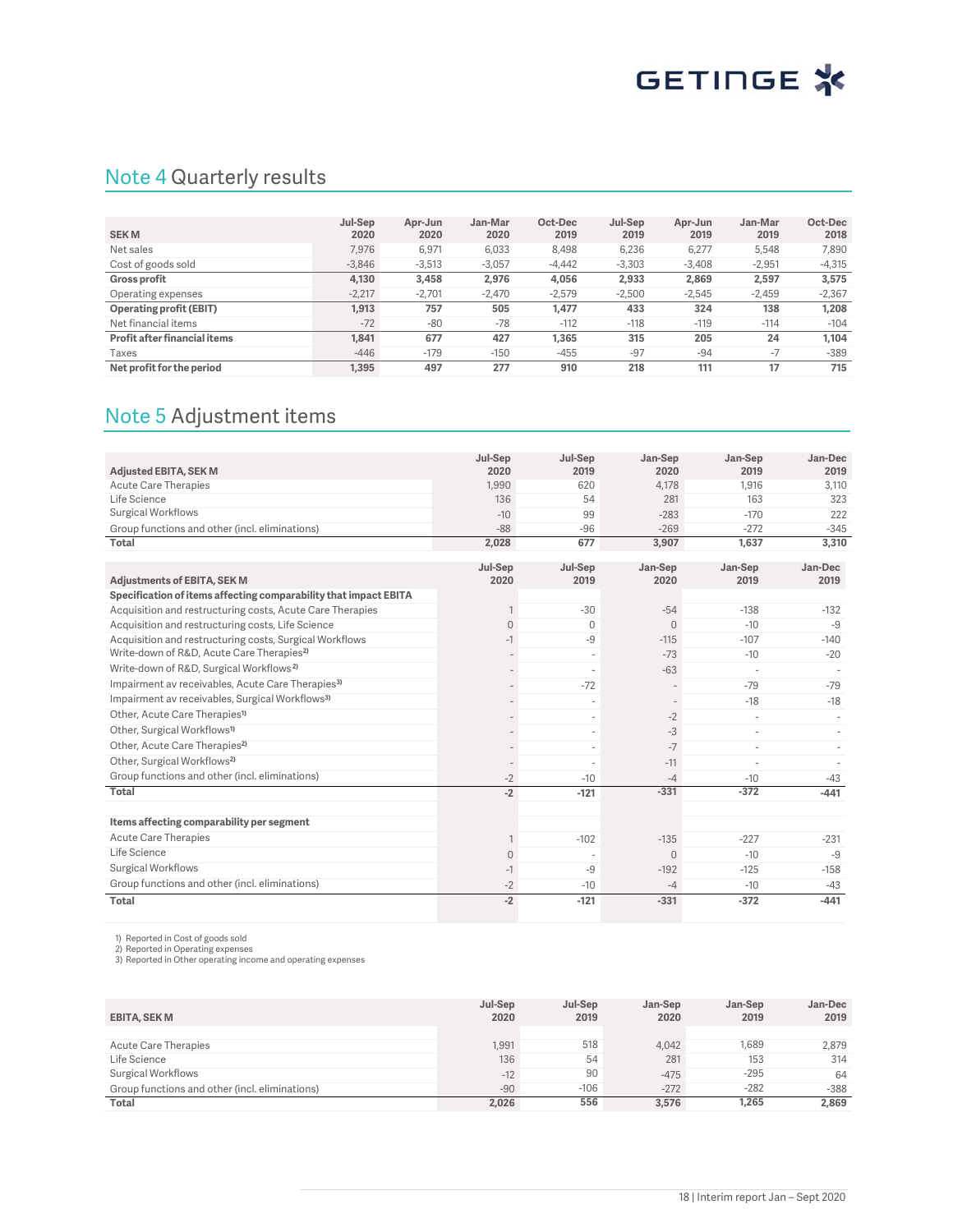## Note 4 Quarterly results

|                                | Jul-Sep  | Apr-Jun  | Jan-Mar  | Oct-Dec  | Jul-Sep  | Apr-Jun  | Jan-Mar  | Oct-Dec  |
|--------------------------------|----------|----------|----------|----------|----------|----------|----------|----------|
| <b>SEKM</b>                    | 2020     | 2020     | 2020     | 2019     | 2019     | 2019     | 2019     | 2018     |
| Net sales                      | 7.976    | 6,971    | 6,033    | 8,498    | 6,236    | 6,277    | 5,548    | 7,890    |
| Cost of goods sold             | $-3.846$ | $-3,513$ | $-3,057$ | $-4.442$ | $-3,303$ | $-3.408$ | $-2,951$ | $-4,315$ |
| <b>Gross profit</b>            | 4.130    | 3,458    | 2,976    | 4.056    | 2.933    | 2,869    | 2.597    | 3,575    |
| Operating expenses             | $-2.217$ | $-2.701$ | $-2,470$ | $-2.579$ | $-2.500$ | $-2.545$ | $-2.459$ | $-2,367$ |
| <b>Operating profit (EBIT)</b> | 1.913    | 757      | 505      | 1.477    | 433      | 324      | 138      | 1.208    |
| Net financial items            | $-72$    | $-80$    | $-78$    | $-112$   | $-118$   | $-119$   | $-114$   | $-104$   |
| Profit after financial items   | 1.841    | 677      | 427      | 1.365    | 315      | 205      | 24       | 1.104    |
| Taxes                          | $-446$   | $-179$   | $-150$   | $-455$   | $-97$    | $-94$    | $-7$     | $-389$   |
| Net profit for the period      | 1.395    | 497      | 277      | 910      | 218      | 111      | 17       | 715      |

## Note 5 Adjustment items

|                                                                  | Jul-Sep<br>2020          | Jul-Sep<br>2019 | Jan-Sep<br>2020          | Jan-Sep<br>2019 | Jan-Dec<br>2019 |
|------------------------------------------------------------------|--------------------------|-----------------|--------------------------|-----------------|-----------------|
| <b>Adjusted EBITA, SEK M</b><br><b>Acute Care Therapies</b>      | 1,990                    | 620             | 4,178                    | 1,916           | 3,110           |
| Life Science                                                     | 136                      | 54              | 281                      | 163             | 323             |
| <b>Surgical Workflows</b>                                        | $-10$                    | 99              | $-283$                   | $-170$          | 222             |
| Group functions and other (incl. eliminations)                   | $-88$                    | $-96$           | $-269$                   | $-272$          | $-345$          |
| <b>Total</b>                                                     | 2,028                    | 677             | 3,907                    | 1,637           | 3,310           |
|                                                                  |                          |                 |                          |                 |                 |
|                                                                  | Jul-Sep                  | Jul-Sep         | Jan-Sep                  | Jan-Sep         | Jan-Dec         |
| <b>Adjustments of EBITA, SEK M</b>                               | 2020                     | 2019            | 2020                     | 2019            | 2019            |
| Specification of items affecting comparability that impact EBITA |                          |                 |                          |                 |                 |
| Acquisition and restructuring costs, Acute Care Therapies        |                          | $-30$           | $-54$                    | $-138$          | $-132$          |
| Acquisition and restructuring costs, Life Science                | $\Omega$                 | $\Omega$        | $\overline{0}$           | $-10$           | -9              |
| Acquisition and restructuring costs, Surgical Workflows          | $-1$                     | $-9$            | $-115$                   | $-107$          | $-140$          |
| Write-down of R&D, Acute Care Therapies <sup>2)</sup>            |                          |                 | $-73$                    | $-10$           | $-20$           |
| Write-down of R&D, Surgical Workflows <sup>2)</sup>              |                          |                 | $-63$                    |                 |                 |
| Impairment av receivables, Acute Care Therapies <sup>3)</sup>    |                          | $-72$           |                          | $-79$           | $-79$           |
| Impairment av receivables, Surgical Workflows <sup>3)</sup>      |                          |                 | $\overline{\phantom{a}}$ | $-18$           | $-18$           |
| Other. Acute Care Therapies <sup>1)</sup>                        |                          |                 | $-2$                     |                 |                 |
| Other, Surgical Workflows <sup>1)</sup>                          |                          |                 | $-3$                     | $\sim$          |                 |
| Other, Acute Care Therapies <sup>2)</sup>                        |                          |                 | $-7$                     |                 |                 |
| Other, Surgical Workflows <sup>2)</sup>                          | $\overline{\phantom{a}}$ | ä,              | $-11$                    | $\sim$          |                 |
| Group functions and other (incl. eliminations)                   | $-2$                     | $-10$           | $-4$                     | $-10$           | $-43$           |
| Total                                                            | $-2$                     | $-121$          | $-331$                   | $-372$          | $-441$          |
|                                                                  |                          |                 |                          |                 |                 |
| Items affecting comparability per segment                        |                          |                 |                          |                 |                 |
| <b>Acute Care Therapies</b>                                      |                          | $-102$          | $-135$                   | $-227$          | $-231$          |
| Life Science                                                     | $\Omega$                 |                 | $\Omega$                 | $-10$           | $-9$            |
| <b>Surgical Workflows</b>                                        | $-1$                     | $-9$            | $-192$                   | $-125$          | $-158$          |
| Group functions and other (incl. eliminations)                   | $-2$                     | $-10$           | $-4$                     | $-10$           | $-43$           |
| Total                                                            | $-2$                     | $-121$          | $-331$                   | $-372$          | $-441$          |

1) Reported in Cost of goods sold 2) Reported in Operating expenses 3) Reported in Other operating income and operating expenses

| <b>EBITA, SEK M</b>                            | Jul-Sep<br>2020 | Jul-Sep<br>2019 | Jan-Sep<br>2020 | Jan-Sep<br>2019 | Jan-Dec<br>2019 |
|------------------------------------------------|-----------------|-----------------|-----------------|-----------------|-----------------|
|                                                |                 |                 |                 |                 |                 |
| Acute Care Therapies                           | 1,991           | 518             | 4.042           | .689            | 2.879           |
| Life Science                                   | 136             | 54              | 281             | 153             | 314             |
| Surgical Workflows                             | $-12$           | 90              | $-475$          | $-295$          | 64              |
| Group functions and other (incl. eliminations) | $-90$           | $-106$          | $-272$          | $-282$          | $-388$          |
| Total                                          | 2,026           | 556             | 3,576           | 1,265           | 2,869           |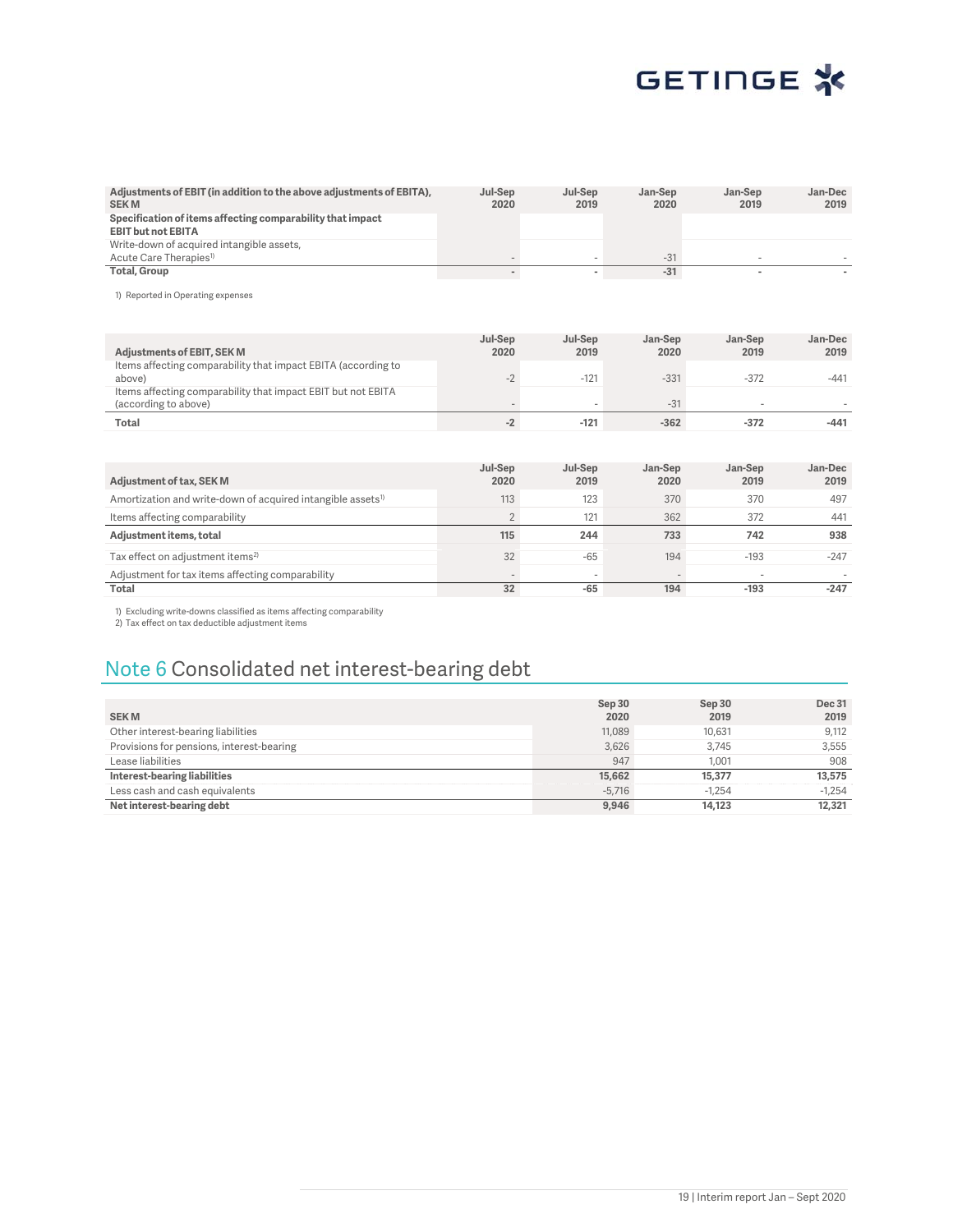| Adjustments of EBIT (in addition to the above adjustments of EBITA),<br><b>SEKM</b>     | Jul-Sep<br>2020 | Jul-Sep<br>2019 | Jan-Sep<br>2020 | Jan-Sep<br>2019 | Jan-Dec<br>2019 |
|-----------------------------------------------------------------------------------------|-----------------|-----------------|-----------------|-----------------|-----------------|
| Specification of items affecting comparability that impact<br><b>EBIT but not EBITA</b> |                 |                 |                 |                 |                 |
| Write-down of acquired intangible assets,                                               |                 |                 |                 |                 |                 |
| Acute Care Therapies <sup>1)</sup>                                                      |                 |                 | $-31$           |                 |                 |
| Total, Group                                                                            |                 |                 | $-31$           |                 |                 |

1) Reported in Operating expenses

| <b>Adjustments of EBIT, SEK M</b>                                                    | Jul-Sep<br>2020          | Jul-Sep<br>2019 | Jan-Sep<br>2020 | Jan-Sep<br>2019          | Jan-Dec<br>2019 |
|--------------------------------------------------------------------------------------|--------------------------|-----------------|-----------------|--------------------------|-----------------|
| Items affecting comparability that impact EBITA (according to<br>above)              | $\overline{\phantom{a}}$ | $-121$          | $-331$          | $-372$                   | $-441$          |
| Items affecting comparability that impact EBIT but not EBITA<br>(according to above) |                          |                 | $-31$           | $\overline{\phantom{a}}$ |                 |
| Total                                                                                |                          | $-121$          | $-362$          | $-372$                   | $-441$          |

|                                                                         | Jul-Sep | Jul-Sep | Jan-Sep | Jan-Sep | Jan-Dec |
|-------------------------------------------------------------------------|---------|---------|---------|---------|---------|
| Adjustment of tax, SEK M                                                | 2020    | 2019    | 2020    | 2019    | 2019    |
| Amortization and write-down of acquired intangible assets <sup>1)</sup> | 113     | 123     | 370     | 370     | 497     |
| Items affecting comparability                                           |         | 121     | 362     | 372     | 441     |
|                                                                         |         |         |         |         |         |
| Adjustment items, total                                                 | 115     | 244     | 733     | 742     | 938     |
| Tax effect on adjustment items <sup>2)</sup>                            | 32      | $-65$   | 194     | $-193$  | $-247$  |
| Adjustment for tax items affecting comparability                        |         |         |         |         |         |

1) Excluding write-downs classified as items affecting comparability 2) Tax effect on tax deductible adjustment items

## Note 6 Consolidated net interest-bearing debt

| <b>SEKM</b>                               | Sep 30<br>2020 | Sep 30<br>2019 | <b>Dec 31</b><br>2019 |
|-------------------------------------------|----------------|----------------|-----------------------|
| Other interest-bearing liabilities        | 11,089         | 10.631         | 9,112                 |
| Provisions for pensions, interest-bearing | 3,626          | 3.745          | 3.555                 |
| Lease liabilities                         | 947            | 1.001          | 908                   |
| Interest-bearing liabilities              | 15,662         | 15,377         | 13,575                |
| Less cash and cash equivalents            | $-5.716$       | $-1.254$       | $-1.254$              |
| Net interest-bearing debt                 | 9,946          | 14,123         | 12,321                |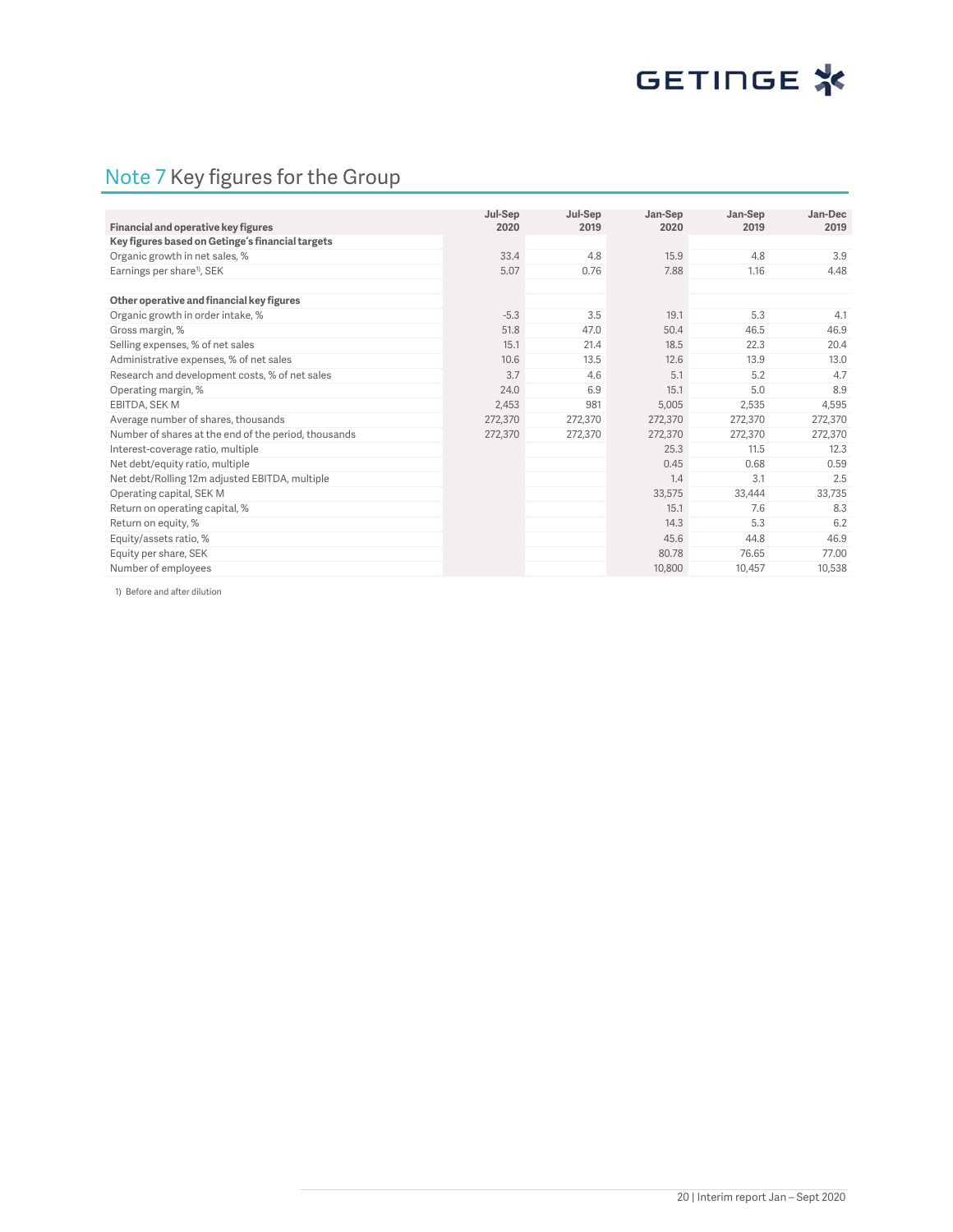## Note 7 Key figures for the Group

|                                                      |                 |                 |                 |                 | Jan-Dec |
|------------------------------------------------------|-----------------|-----------------|-----------------|-----------------|---------|
| Financial and operative key figures                  | Jul-Sep<br>2020 | Jul-Sep<br>2019 | Jan-Sep<br>2020 | Jan-Sep<br>2019 | 2019    |
| Key figures based on Getinge's financial targets     |                 |                 |                 |                 |         |
| Organic growth in net sales, %                       | 33.4            | 4.8             | 15.9            | 4.8             | 3.9     |
| Earnings per share <sup>1</sup> , SEK                | 5.07            | 0.76            | 7.88            | 1.16            | 4.48    |
|                                                      |                 |                 |                 |                 |         |
| Other operative and financial key figures            |                 |                 |                 |                 |         |
| Organic growth in order intake, %                    | $-5.3$          | 3.5             | 19.1            | 5.3             | 4.1     |
| Gross margin, %                                      | 51.8            | 47.0            | 50.4            | 46.5            | 46.9    |
| Selling expenses, % of net sales                     | 15.1            | 21.4            | 18.5            | 22.3            | 20.4    |
| Administrative expenses, % of net sales              | 10.6            | 13.5            | 12.6            | 13.9            | 13.0    |
| Research and development costs, % of net sales       | 3.7             | 4.6             | 5.1             | 5.2             | 4.7     |
| Operating margin, %                                  | 24.0            | 6.9             | 15.1            | 5.0             | 8.9     |
| EBITDA, SEK M                                        | 2,453           | 981             | 5,005           | 2,535           | 4,595   |
| Average number of shares, thousands                  | 272.370         | 272,370         | 272,370         | 272,370         | 272,370 |
| Number of shares at the end of the period, thousands | 272,370         | 272,370         | 272,370         | 272,370         | 272,370 |
| Interest-coverage ratio, multiple                    |                 |                 | 25.3            | 11.5            | 12.3    |
| Net debt/equity ratio, multiple                      |                 |                 | 0.45            | 0.68            | 0.59    |
| Net debt/Rolling 12m adjusted EBITDA, multiple       |                 |                 | 1.4             | 3.1             | 2.5     |
| Operating capital, SEK M                             |                 |                 | 33,575          | 33,444          | 33,735  |
| Return on operating capital, %                       |                 |                 | 15.1            | 7.6             | 8.3     |
| Return on equity, %                                  |                 |                 | 14.3            | 5.3             | 6.2     |
| Equity/assets ratio, %                               |                 |                 | 45.6            | 44.8            | 46.9    |
| Equity per share, SEK                                |                 |                 | 80.78           | 76.65           | 77.00   |
| Number of employees                                  |                 |                 | 10,800          | 10,457          | 10,538  |

1) Before and after dilution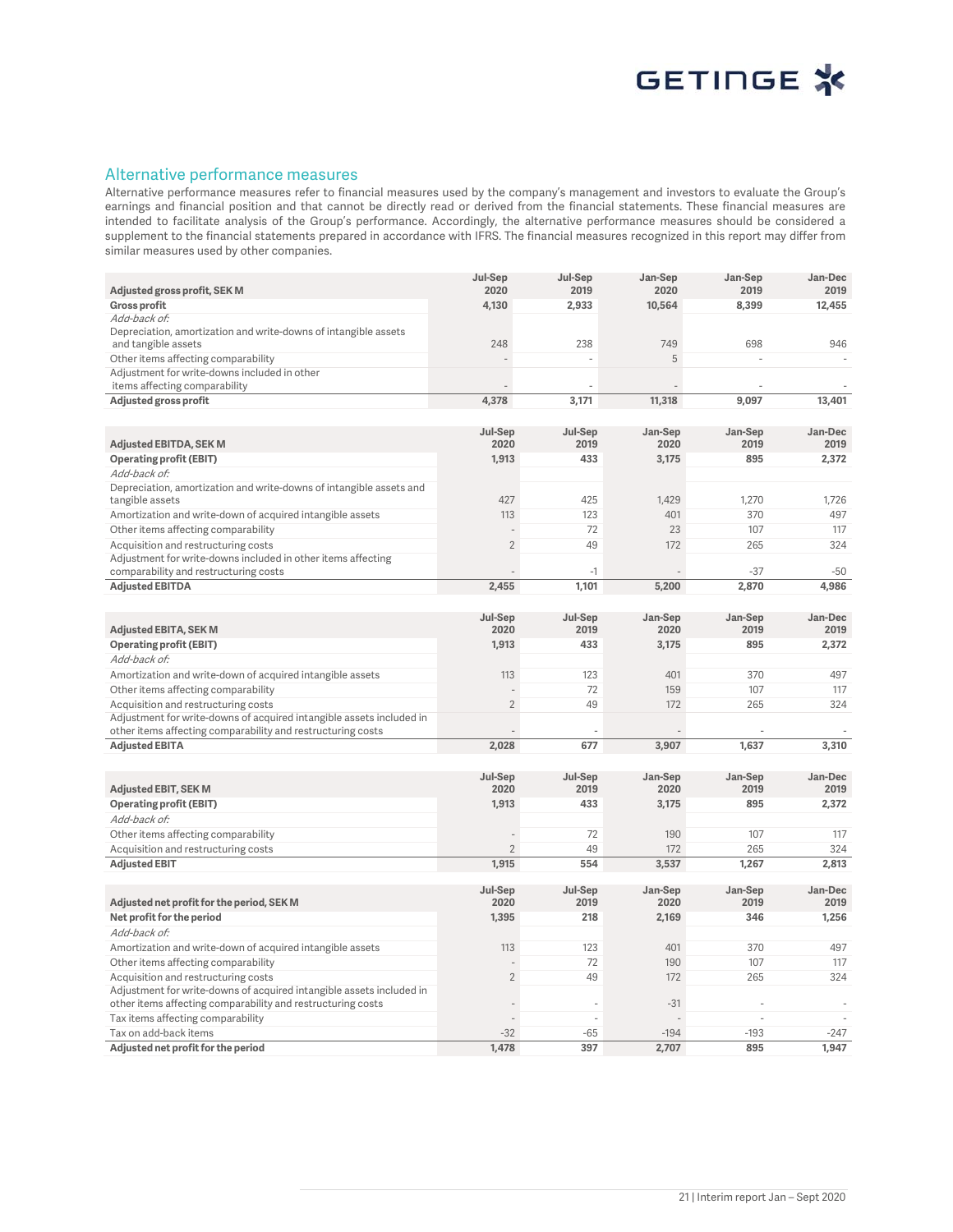

### Alternative performance measures

Alternative performance measures refer to financial measures used by the company's management and investors to evaluate the Group's earnings and financial position and that cannot be directly read or derived from the financial statements. These financial measures are intended to facilitate analysis of the Group's performance. Accordingly, the alternative performance measures should be considered a supplement to the financial statements prepared in accordance with IFRS. The financial measures recognized in this report may differ from similar measures used by other companies.

|                                                                                                     | Jul-Sep         | Jul-Sep         | Jan-Sep         | Jan-Sep         | Jan-Dec         |
|-----------------------------------------------------------------------------------------------------|-----------------|-----------------|-----------------|-----------------|-----------------|
| Adjusted gross profit, SEK M                                                                        | 2020            | 2019            | 2020            | 2019            | 2019            |
| <b>Gross profit</b><br>Add-back of:                                                                 | 4,130           | 2,933           | 10,564          | 8,399           | 12,455          |
| Depreciation, amortization and write-downs of intangible assets                                     |                 |                 |                 |                 |                 |
| and tangible assets                                                                                 | 248             | 238             | 749             | 698             | 946             |
| Other items affecting comparability                                                                 |                 |                 | 5               |                 |                 |
| Adjustment for write-downs included in other                                                        |                 |                 |                 |                 |                 |
| items affecting comparability                                                                       |                 |                 |                 |                 |                 |
| Adjusted gross profit                                                                               | 4,378           | 3,171           | 11,318          | 9,097           | 13,401          |
|                                                                                                     |                 |                 |                 |                 |                 |
|                                                                                                     | Jul-Sep         | Jul-Sep         | Jan-Sep         | Jan-Sep         | Jan-Dec         |
| <b>Adjusted EBITDA, SEK M</b>                                                                       | 2020            | 2019            | 2020            | 2019            | 2019            |
| <b>Operating profit (EBIT)</b>                                                                      | 1,913           | 433             | 3,175           | 895             | 2,372           |
| Add-back of:                                                                                        |                 |                 |                 |                 |                 |
| Depreciation, amortization and write-downs of intangible assets and                                 | 427             | 425             | 1,429           | 1,270           | 1,726           |
| tangible assets                                                                                     |                 |                 |                 |                 |                 |
| Amortization and write-down of acquired intangible assets                                           | 113             | 123<br>72       | 401<br>23       | 370<br>107      | 497<br>117      |
| Other items affecting comparability                                                                 | $\overline{2}$  |                 |                 |                 |                 |
| Acquisition and restructuring costs<br>Adjustment for write-downs included in other items affecting |                 | 49              | 172             | 265             | 324             |
| comparability and restructuring costs                                                               |                 | $-1$            |                 | $-37$           | $-50$           |
| <b>Adjusted EBITDA</b>                                                                              | 2,455           | 1,101           | 5,200           | 2,870           | 4,986           |
|                                                                                                     |                 |                 |                 |                 |                 |
|                                                                                                     | Jul-Sep         | Jul-Sep         | Jan-Sep         | Jan-Sep         | Jan-Dec         |
| <b>Adjusted EBITA, SEK M</b>                                                                        | 2020            | 2019            | 2020            | 2019            | 2019            |
| <b>Operating profit (EBIT)</b>                                                                      | 1,913           | 433             | 3,175           | 895             | 2,372           |
| Add-back of:                                                                                        |                 |                 |                 |                 |                 |
| Amortization and write-down of acquired intangible assets                                           | 113             | 123             | 401             | 370             | 497             |
| Other items affecting comparability                                                                 |                 | 72              | 159             | 107             | 117             |
| Acquisition and restructuring costs                                                                 | $\overline{2}$  | 49              | 172             | 265             | 324             |
| Adjustment for write-downs of acquired intangible assets included in                                |                 |                 |                 |                 |                 |
| other items affecting comparability and restructuring costs                                         |                 |                 |                 |                 |                 |
| <b>Adjusted EBITA</b>                                                                               | 2,028           | 677             | 3,907           | 1,637           | 3,310           |
|                                                                                                     |                 |                 |                 |                 |                 |
|                                                                                                     | Jul-Sep         | Jul-Sep         | Jan-Sep         | Jan-Sep         | Jan-Dec         |
| <b>Adjusted EBIT, SEK M</b>                                                                         | 2020            | 2019            | 2020            | 2019            | 2019            |
| <b>Operating profit (EBIT)</b>                                                                      | 1,913           | 433             | 3,175           | 895             | 2,372           |
| Add-back of:                                                                                        |                 |                 |                 |                 |                 |
| Other items affecting comparability                                                                 |                 | 72              | 190             | 107             | 117             |
| Acquisition and restructuring costs                                                                 | $\overline{2}$  | 49              | 172             | 265             | 324             |
| <b>Adjusted EBIT</b>                                                                                | 1,915           | 554             | 3,537           | 1,267           | 2.813           |
|                                                                                                     |                 |                 |                 |                 |                 |
| Adjusted net profit for the period, SEK M                                                           | Jul-Sep<br>2020 | Jul-Sep<br>2019 | Jan-Sep<br>2020 | Jan-Sep<br>2019 | Jan-Dec<br>2019 |
| Net profit for the period                                                                           | 1,395           | 218             | 2,169           | 346             | 1,256           |
| Add-back of:                                                                                        |                 |                 |                 |                 |                 |
|                                                                                                     | 113             | 123             | 401             | 370             | 497             |
| Amortization and write-down of acquired intangible assets<br>Other items affecting comparability    |                 | 72              | 190             | 107             | 117             |
| Acquisition and restructuring costs                                                                 | $\overline{2}$  | 49              | 172             | 265             | 324             |
| Adjustment for write-downs of acquired intangible assets included in                                |                 |                 |                 |                 |                 |
| other items affecting comparability and restructuring costs                                         |                 |                 | $-31$           |                 |                 |
| Tax items affecting comparability                                                                   |                 | ä,              |                 |                 |                 |
| Tax on add-back items                                                                               | $-32$           | $-65$           | $-194$          | $-193$          | $-247$          |
| Adjusted net profit for the period                                                                  | 1,478           | 397             | 2,707           | 895             | 1,947           |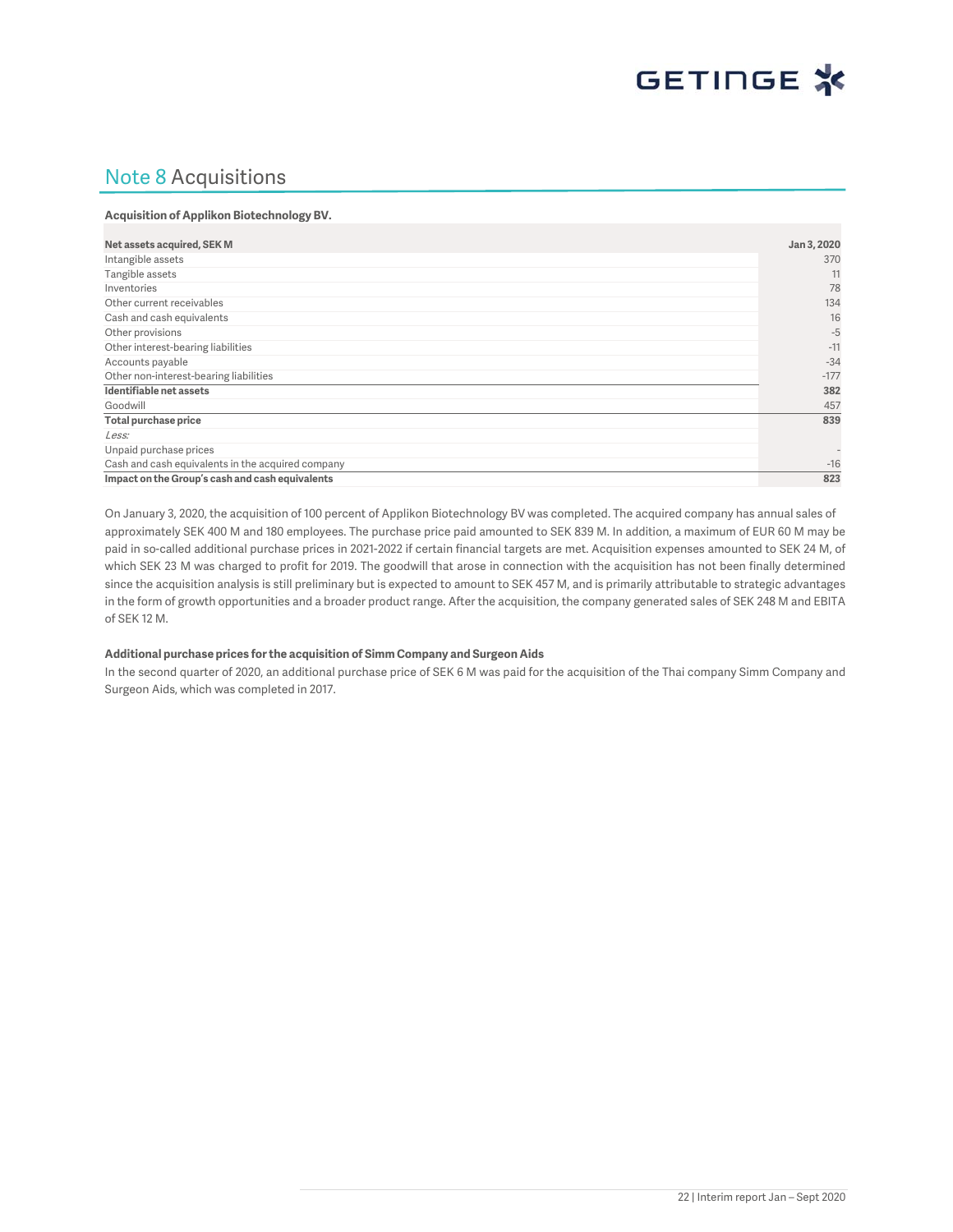

## Note 8 Acquisitions

#### **Acquisition of Applikon Biotechnology BV.**

| Net assets acquired, SEK M                        | Jan 3, 2020              |
|---------------------------------------------------|--------------------------|
| Intangible assets                                 | 370                      |
| Tangible assets                                   | 11                       |
| Inventories                                       | 78                       |
| Other current receivables                         | 134                      |
| Cash and cash equivalents                         | 16                       |
| Other provisions                                  | $-5$                     |
| Other interest-bearing liabilities                | $-11$                    |
| Accounts payable                                  | $-34$                    |
| Other non-interest-bearing liabilities            | $-177$                   |
| Identifiable net assets                           | 382                      |
| Goodwill                                          | 457                      |
| Total purchase price                              | 839                      |
| Less:                                             |                          |
| Unpaid purchase prices                            | $\overline{\phantom{a}}$ |
| Cash and cash equivalents in the acquired company | $-16$                    |
| Impact on the Group's cash and cash equivalents   | 823                      |

On January 3, 2020, the acquisition of 100 percent of Applikon Biotechnology BV was completed. The acquired company has annual sales of approximately SEK 400 M and 180 employees. The purchase price paid amounted to SEK 839 M. In addition, a maximum of EUR 60 M may be paid in so-called additional purchase prices in 2021-2022 if certain financial targets are met. Acquisition expenses amounted to SEK 24 M, of which SEK 23 M was charged to profit for 2019. The goodwill that arose in connection with the acquisition has not been finally determined since the acquisition analysis is still preliminary but is expected to amount to SEK 457 M, and is primarily attributable to strategic advantages in the form of growth opportunities and a broader product range. After the acquisition, the company generated sales of SEK 248 M and EBITA of SEK 12 M.

#### **Additional purchase prices for the acquisition of Simm Company and Surgeon Aids**

In the second quarter of 2020, an additional purchase price of SEK 6 M was paid for the acquisition of the Thai company Simm Company and Surgeon Aids, which was completed in 2017.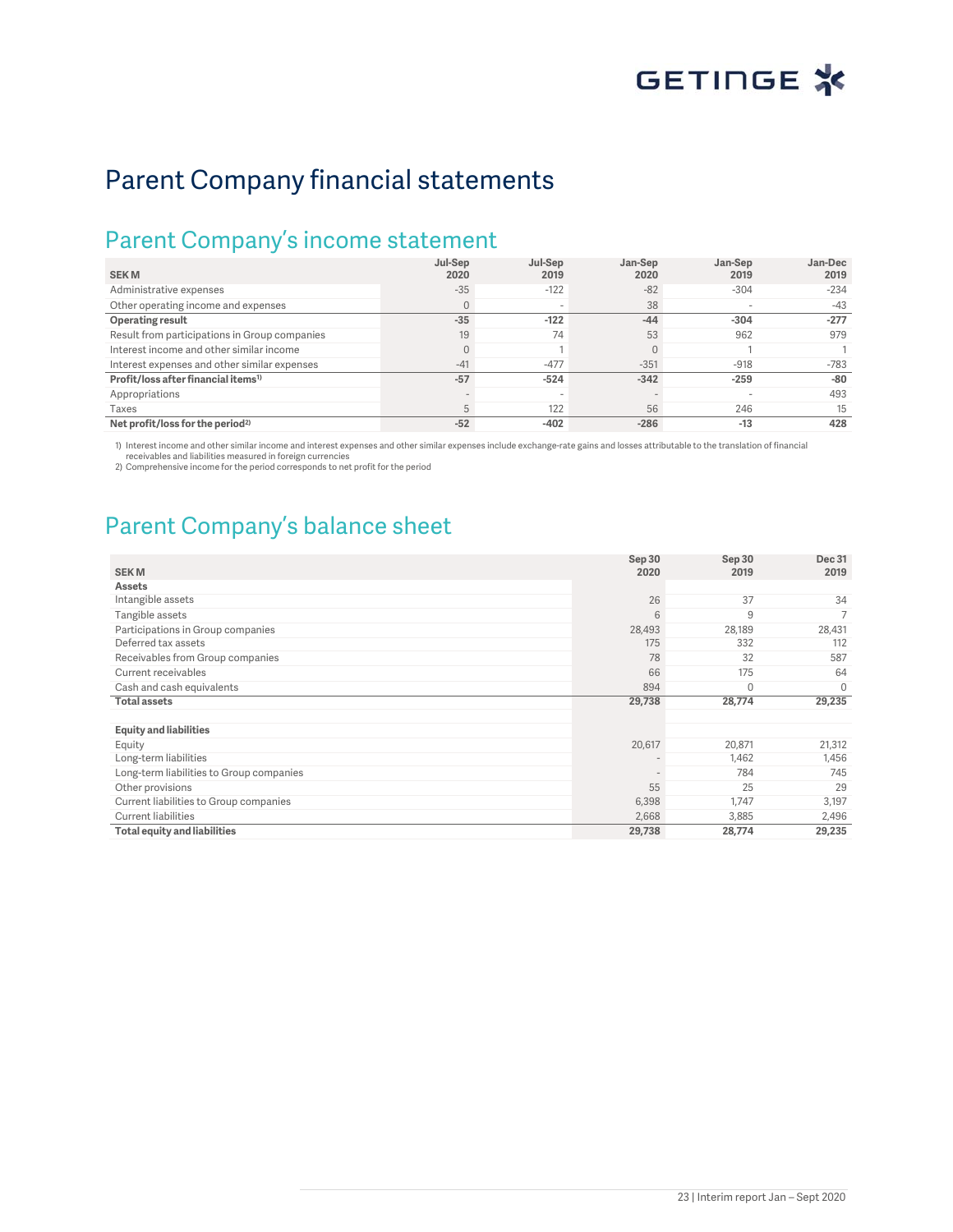# Parent Company financial statements

## Parent Company's income statement

|                                                 | Jul-Sep                  | Jul-Sep | Jan-Sep | Jan-Sep | Jan-Dec |
|-------------------------------------------------|--------------------------|---------|---------|---------|---------|
| <b>SEKM</b>                                     | 2020                     | 2019    | 2020    | 2019    | 2019    |
| Administrative expenses                         | $-35$                    | $-122$  | $-82$   | $-304$  | $-234$  |
| Other operating income and expenses             | $\mathbf{0}$             |         | 38      |         | $-43$   |
| Operating result                                | $-35$                    | $-122$  | $-44$   | $-304$  | $-277$  |
| Result from participations in Group companies   | 19                       | 74      | 53      | 962     | 979     |
| Interest income and other similar income        | $\overline{0}$           |         |         |         |         |
| Interest expenses and other similar expenses    | $-41$                    | $-477$  | $-351$  | $-918$  | $-783$  |
| Profit/loss after financial items <sup>1)</sup> | $-57$                    | $-524$  | $-342$  | $-259$  | $-80$   |
| Appropriations                                  | $\overline{\phantom{a}}$ |         |         |         | 493     |
| Taxes                                           | 5                        | 122     | 56      | 246     | 15      |
| Net profit/loss for the period <sup>2)</sup>    | $-52$                    | $-402$  | $-286$  | $-13$   | 428     |

1) Interest income and other similar income and interest expenses and other similar expenses include exchange-rate gains and losses attributable to the translation of financial receivables and liabilities measured in foreign currencies

2) Comprehensive income for the period corresponds to net profit for the period

# Parent Company's balance sheet

| <b>SEKM</b>                              | Sep 30<br>2020 | Sep 30<br>2019 | Dec 31<br>2019 |
|------------------------------------------|----------------|----------------|----------------|
| <b>Assets</b>                            |                |                |                |
|                                          | 26             | 37             | 34             |
| Intangible assets                        |                |                |                |
| Tangible assets                          | 6              | 9              | 7              |
| Participations in Group companies        | 28,493         | 28,189         | 28,431         |
| Deferred tax assets                      | 175            | 332            | 112            |
| Receivables from Group companies         | 78             | 32             | 587            |
| Current receivables                      | 66             | 175            | 64             |
| Cash and cash equivalents                | 894            | $\Omega$       | $\Omega$       |
|                                          |                |                |                |
| <b>Total assets</b>                      | 29,738         | 28,774         | 29,235         |
|                                          |                |                |                |
| <b>Equity and liabilities</b>            |                |                |                |
| Equity                                   | 20,617         | 20,871         | 21,312         |
| Long-term liabilities                    |                | 1,462          | 1,456          |
| Long-term liabilities to Group companies |                | 784            | 745            |
| Other provisions                         | 55             | 25             | 29             |
| Current liabilities to Group companies   | 6,398          | 1,747          | 3,197          |
| Current liabilities                      | 2,668          | 3,885          | 2,496          |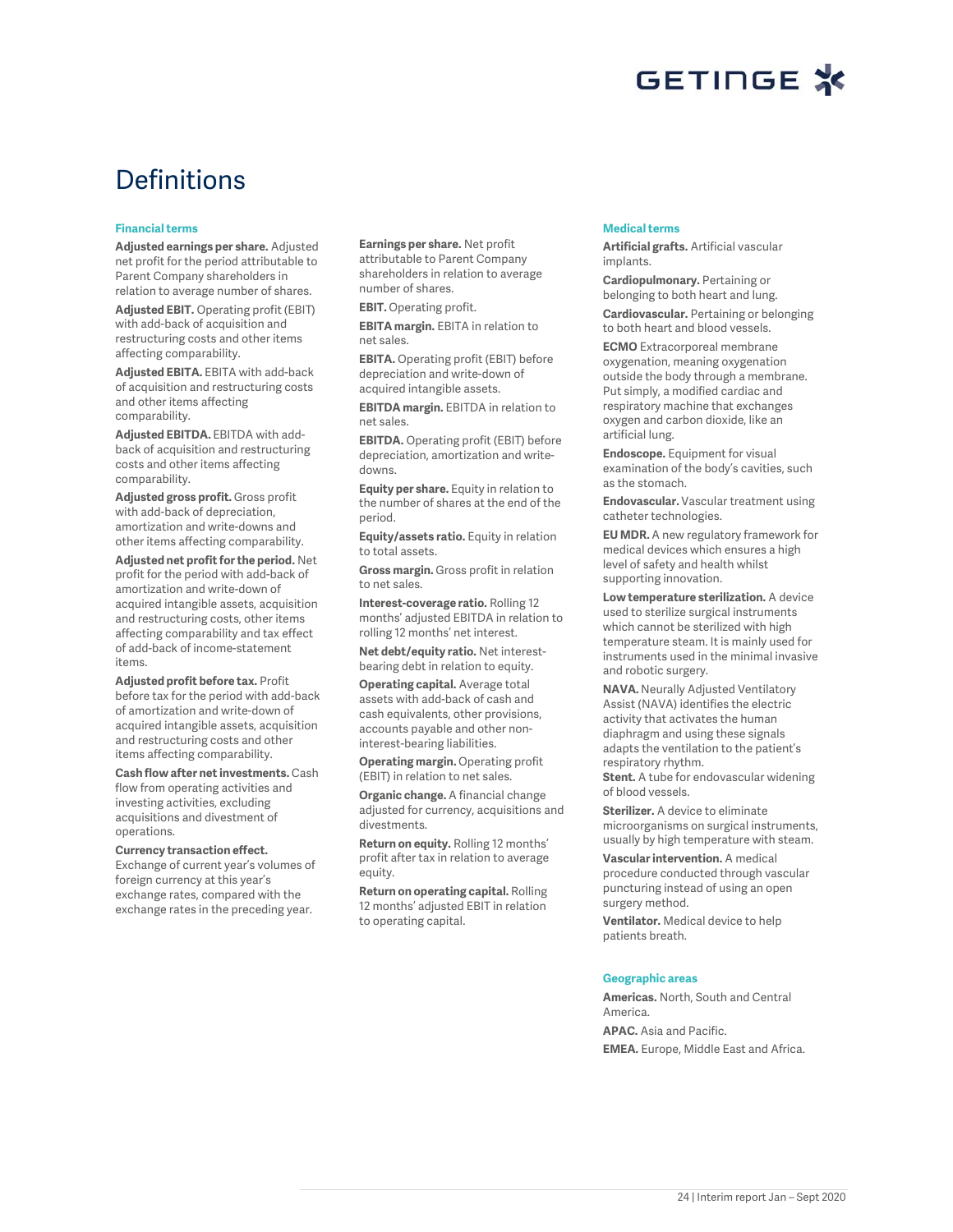# **Definitions**

#### **Financial terms**

**Adjusted earnings per share.** Adjusted net profit for the period attributable to Parent Company shareholders in relation to average number of shares.

**Adjusted EBIT.** Operating profit (EBIT) with add-back of acquisition and restructuring costs and other items affecting comparability.

**Adjusted EBITA.** EBITA with add-back of acquisition and restructuring costs and other items affecting comparability.

**Adjusted EBITDA.** EBITDA with addback of acquisition and restructuring costs and other items affecting comparability.

**Adjusted gross profit.** Gross profit with add-back of depreciation, amortization and write-downs and other items affecting comparability.

**Adjusted net profit for the period.** Net profit for the period with add-back of amortization and write-down of acquired intangible assets, acquisition and restructuring costs, other items affecting comparability and tax effect of add-back of income-statement items.

**Adjusted profit before tax.** Profit before tax for the period with add-back of amortization and write-down of acquired intangible assets, acquisition and restructuring costs and other items affecting comparability.

**Cash flow after net investments.** Cash flow from operating activities and investing activities, excluding acquisitions and divestment of operations.

#### **Currency transaction effect.**

Exchange of current year's volumes of foreign currency at this year's exchange rates, compared with the exchange rates in the preceding year.

**Earnings per share.** Net profit attributable to Parent Company shareholders in relation to average number of shares.

**EBIT.** Operating profit.

**EBITA margin.** EBITA in relation to net sales.

**EBITA.** Operating profit (EBIT) before depreciation and write-down of acquired intangible assets.

**EBITDA margin.** EBITDA in relation to net sales.

**EBITDA.** Operating profit (EBIT) before depreciation, amortization and writedowns.

**Equity per share.** Equity in relation to the number of shares at the end of the period.

**Equity/assets ratio.** Equity in relation to total assets.

**Gross margin.** Gross profit in relation to net sales.

**Interest-coverage ratio.** Rolling 12 months' adjusted EBITDA in relation to rolling 12 months' net interest.

**Net debt/equity ratio.** Net interestbearing debt in relation to equity.

**Operating capital.** Average total assets with add-back of cash and cash equivalents, other provisions, accounts payable and other noninterest-bearing liabilities.

**Operating margin.** Operating profit (EBIT) in relation to net sales.

**Organic change.** A financial change adjusted for currency, acquisitions and divestments.

**Return on equity.** Rolling 12 months' profit after tax in relation to average equity.

**Return on operating capital.** Rolling 12 months' adjusted EBIT in relation to operating capital.

#### **Medical terms**

**Artificial grafts.** Artificial vascular implants.

**Cardiopulmonary.** Pertaining or belonging to both heart and lung.

**Cardiovascular.** Pertaining or belonging to both heart and blood vessels.

**ECMO** Extracorporeal membrane oxygenation, meaning oxygenation outside the body through a membrane. Put simply, a modified cardiac and respiratory machine that exchanges oxygen and carbon dioxide, like an artificial lung.

**Endoscope.** Equipment for visual examination of the body's cavities, such as the stomach.

**Endovascular.** Vascular treatment using catheter technologies.

**EU MDR.** A new regulatory framework for medical devices which ensures a high level of safety and health whilst supporting innovation.

**Low temperature sterilization.** A device used to sterilize surgical instruments which cannot be sterilized with high temperature steam. It is mainly used for instruments used in the minimal invasive and robotic surgery.

**NAVA.** Neurally Adjusted Ventilatory Assist (NAVA) identifies the electric activity that activates the human diaphragm and using these signals adapts the ventilation to the patient's respiratory rhythm. **Stent.** A tube for endovascular widening

of blood vessels.

**Sterilizer.** A device to eliminate microorganisms on surgical instruments, usually by high temperature with steam.

**Vascular intervention.** A medical procedure conducted through vascular puncturing instead of using an open surgery method.

**Ventilator.** Medical device to help patients breath.

#### **Geographic areas**

**Americas.** North, South and Central America. **APAC.** Asia and Pacific. **EMEA.** Europe, Middle East and Africa.